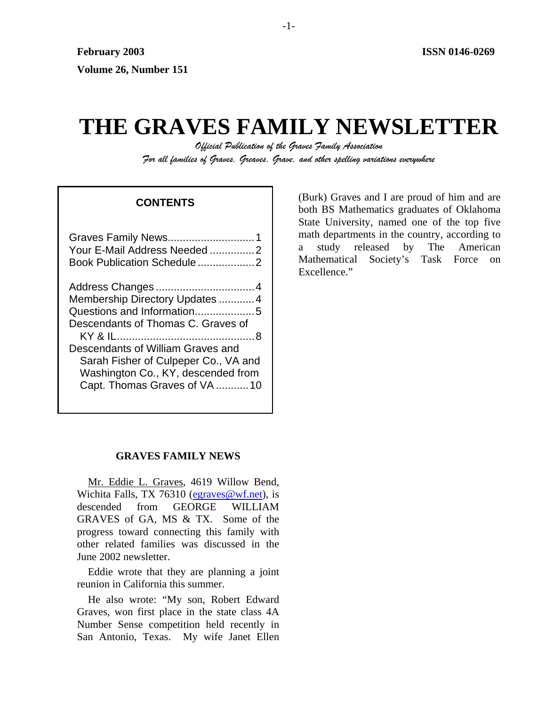# **THE GRAVES FAMILY NEWSLETTER**

*Official Publication of the Graves Family Association For all families of Graves, Greaves, Grave, and other spelling variations everywhere* 

## **CONTENTS**

| Your E-Mail Address Needed 2                                                                                                                                                                                                                          |
|-------------------------------------------------------------------------------------------------------------------------------------------------------------------------------------------------------------------------------------------------------|
| Membership Directory Updates  4<br>Questions and Information5<br>Descendants of Thomas C. Graves of<br>Descendants of William Graves and<br>Sarah Fisher of Culpeper Co., VA and<br>Washington Co., KY, descended from<br>Capt. Thomas Graves of VA10 |

(Burk) Graves and I are proud of him and are both BS Mathematics graduates of Oklahoma State University, named one of the top five math departments in the country, according to a study released by The American Mathematical Society's Task Force on Excellence."

## **GRAVES FAMILY NEWS**

Mr. Eddie L. Graves, 4619 Willow Bend, Wichita Falls, TX 76310 [\(egraves@wf.net](mailto:egraves@wf.net)), is descended from GEORGE WILLIAM GRAVES of GA, MS & TX. Some of the progress toward connecting this family with other related families was discussed in the June 2002 newsletter.

Eddie wrote that they are planning a joint reunion in California this summer.

He also wrote: "My son, Robert Edward Graves, won first place in the state class 4A Number Sense competition held recently in San Antonio, Texas. My wife Janet Ellen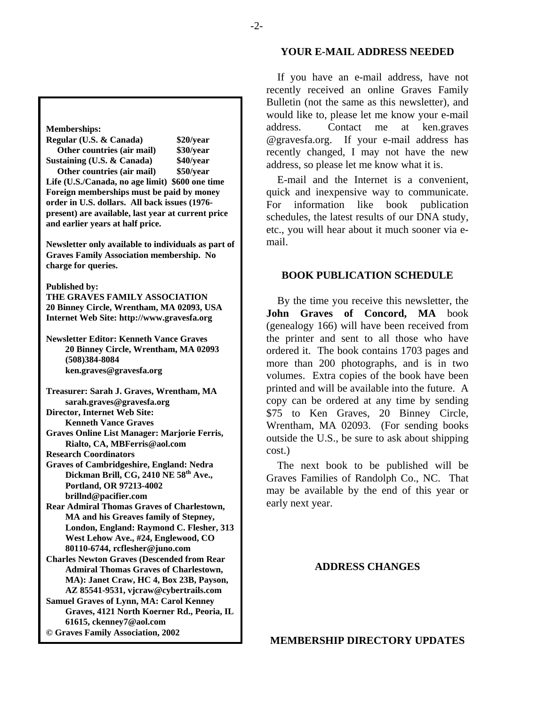#### **Memberships:**

**Regular (U.S. & Canada) \$20/year Other countries (air mail) \$30/year Sustaining (U.S. & Canada) \$40/year** 

 **Other countries (air mail) \$50/year Life (U.S./Canada, no age limit) \$600 one time Foreign memberships must be paid by money order in U.S. dollars. All back issues (1976 present) are available, last year at current price and earlier years at half price.** 

**Newsletter only available to individuals as part of Graves Family Association membership. No charge for queries.** 

**Published by:** 

**THE GRAVES FAMILY ASSOCIATION 20 Binney Circle, Wrentham, MA 02093, USA Internet Web Site: http://www.gravesfa.org** 

**Newsletter Editor: Kenneth Vance Graves 20 Binney Circle, Wrentham, MA 02093 (508)384-8084 ken.graves@gravesfa.org** 

**Treasurer: Sarah J. Graves, Wrentham, MA sarah.graves@gravesfa.org Director, Internet Web Site:** 

 **Kenneth Vance Graves** 

**Graves Online List Manager: Marjorie Ferris, Rialto, CA, MBFerris@aol.com** 

**Research Coordinators** 

**Graves of Cambridgeshire, England: Nedra Dickman Brill, CG, 2410 NE 58th Ave., Portland, OR 97213-4002 brillnd@pacifier.com** 

**Rear Admiral Thomas Graves of Charlestown, MA and his Greaves family of Stepney, London, England: Raymond C. Flesher, 313 West Lehow Ave., #24, Englewood, CO 80110-6744, rcflesher@juno.com** 

**Charles Newton Graves (Descended from Rear Admiral Thomas Graves of Charlestown, MA): Janet Craw, HC 4, Box 23B, Payson, AZ 85541-9531, vjcraw@cybertrails.com** 

**Samuel Graves of Lynn, MA: Carol Kenney Graves, 4121 North Koerner Rd., Peoria, IL 61615, ckenney7@aol.com © Graves Family Association, 2002**

#### **YOUR E-MAIL ADDRESS NEEDED**

If you have an e-mail address, have not recently received an online Graves Family Bulletin (not the same as this newsletter), and would like to, please let me know your e-mail address. Contact me at ken.graves @gravesfa.org. If your e-mail address has recently changed, I may not have the new address, so please let me know what it is.

E-mail and the Internet is a convenient, quick and inexpensive way to communicate. For information like book publication schedules, the latest results of our DNA study, etc., you will hear about it much sooner via email.

#### **BOOK PUBLICATION SCHEDULE**

By the time you receive this newsletter, the **John Graves of Concord, MA** book (genealogy 166) will have been received from the printer and sent to all those who have ordered it. The book contains 1703 pages and more than 200 photographs, and is in two volumes. Extra copies of the book have been printed and will be available into the future. A copy can be ordered at any time by sending \$75 to Ken Graves, 20 Binney Circle, Wrentham, MA 02093. (For sending books outside the U.S., be sure to ask about shipping cost.)

The next book to be published will be Graves Families of Randolph Co., NC. That may be available by the end of this year or early next year.

#### **ADDRESS CHANGES**

**MEMBERSHIP DIRECTORY UPDATES**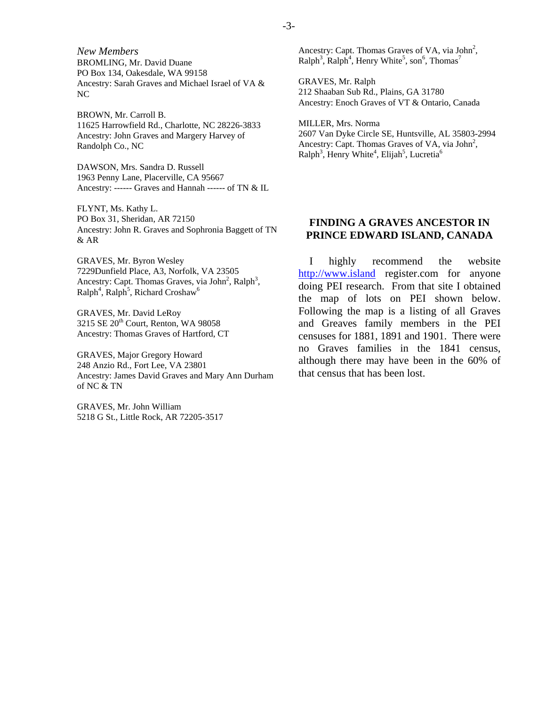*New Members*  BROMLING, Mr. David Duane PO Box 134, Oakesdale, WA 99158 Ancestry: Sarah Graves and Michael Israel of VA & NC

BROWN, Mr. Carroll B. 11625 Harrowfield Rd., Charlotte, NC 28226-3833 Ancestry: John Graves and Margery Harvey of Randolph Co., NC

DAWSON, Mrs. Sandra D. Russell 1963 Penny Lane, Placerville, CA 95667 Ancestry: ------ Graves and Hannah ------ of TN & IL

FLYNT, Ms. Kathy L. PO Box 31, Sheridan, AR 72150 Ancestry: John R. Graves and Sophronia Baggett of TN & AR

GRAVES, Mr. Byron Wesley 7229Dunfield Place, A3, Norfolk, VA 23505 Ancestry: Capt. Thomas Graves, via John<sup>2</sup>, Ralph<sup>3</sup>,  $\text{Ralph}^4$ ,  $\text{Ralph}^5$ , Richard Croshaw<sup>6</sup>

GRAVES, Mr. David LeRoy 3215 SE 20<sup>th</sup> Court, Renton, WA 98058 Ancestry: Thomas Graves of Hartford, CT

GRAVES, Major Gregory Howard 248 Anzio Rd., Fort Lee, VA 23801 Ancestry: James David Graves and Mary Ann Durham of NC & TN

GRAVES, Mr. John William 5218 G St., Little Rock, AR 72205-3517 Ancestry: Capt. Thomas Graves of VA, via John<sup>2</sup>,  $\text{Ralph}^3$ ,  $\text{Ralph}^4$ , Henry White<sup>5</sup>, son<sup>6</sup>, Thomas<sup>7</sup>

GRAVES, Mr. Ralph 212 Shaaban Sub Rd., Plains, GA 31780 Ancestry: Enoch Graves of VT & Ontario, Canada

MILLER, Mrs. Norma 2607 Van Dyke Circle SE, Huntsville, AL 35803-2994 Ancestry: Capt. Thomas Graves of VA, via John<sup>2</sup>,  $\text{Ralph}^3$ , Henry White<sup>4</sup>, Elijah<sup>5</sup>, Lucretia<sup>6</sup>

## **FINDING A GRAVES ANCESTOR IN PRINCE EDWARD ISLAND, CANADA**

I highly recommend the website [http://www.island](http://www.island/) register.com for anyone doing PEI research. From that site I obtained the map of lots on PEI shown below. Following the map is a listing of all Graves and Greaves family members in the PEI censuses for 1881, 1891 and 1901. There were no Graves families in the 1841 census, although there may have been in the 60% of that census that has been lost.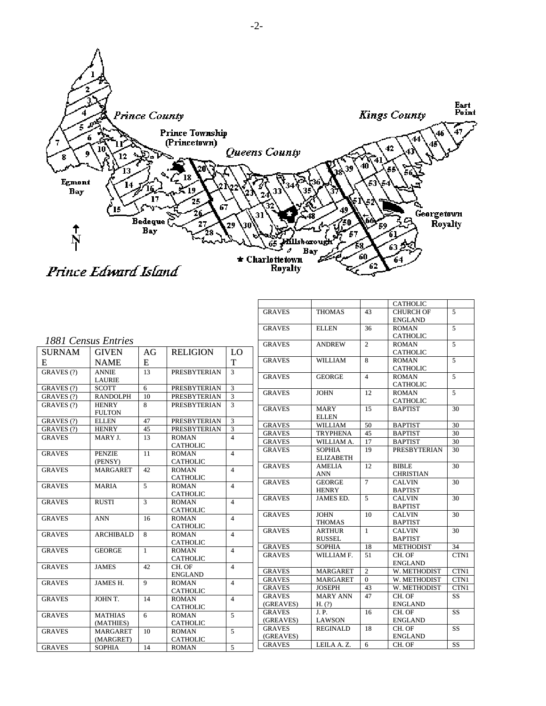

|                     |                  |              |                     |                |               |                  |                | <b>CATHOLIC</b>     |                |
|---------------------|------------------|--------------|---------------------|----------------|---------------|------------------|----------------|---------------------|----------------|
|                     |                  |              |                     |                | <b>GRAVES</b> | <b>THOMAS</b>    | 43             | <b>CHURCH OF</b>    | 5              |
|                     |                  |              |                     |                |               |                  |                | <b>ENGLAND</b>      |                |
|                     |                  |              |                     |                | <b>GRAVES</b> | <b>ELLEN</b>     | 36             | <b>ROMAN</b>        | 5              |
|                     |                  |              |                     |                |               |                  |                | <b>CATHOLIC</b>     |                |
| 1881 Census Entries |                  |              |                     |                | <b>GRAVES</b> | <b>ANDREW</b>    | 2              | <b>ROMAN</b>        | 5              |
| <b>SURNAM</b>       | <b>GIVEN</b>     | AG           | <b>RELIGION</b>     | LO.            |               |                  |                | <b>CATHOLIC</b>     |                |
| Е                   | <b>NAME</b>      | E            |                     | T              | <b>GRAVES</b> | <b>WILLIAM</b>   | 8              | <b>ROMAN</b>        | $\overline{5}$ |
| GRAVES (?)          | <b>ANNIE</b>     | 13           | <b>PRESBYTERIAN</b> | 3              |               |                  |                | <b>CATHOLIC</b>     |                |
|                     | <b>LAURIE</b>    |              |                     |                | <b>GRAVES</b> | <b>GEORGE</b>    | $\overline{4}$ | <b>ROMAN</b>        | 5              |
| GRAVES (?)          | <b>SCOTT</b>     | 6            | <b>PRESBYTERIAN</b> | 3              |               |                  |                | <b>CATHOLIC</b>     |                |
| GRAVES (?)          | <b>RANDOLPH</b>  | 10           | <b>PRESBYTERIAN</b> | 3              | <b>GRAVES</b> | <b>JOHN</b>      | 12             | <b>ROMAN</b>        | $\overline{5}$ |
| GRAVES (?)          | <b>HENRY</b>     | 8            | <b>PRESBYTERIAN</b> | 3              |               |                  |                | <b>CATHOLIC</b>     |                |
|                     | <b>FULTON</b>    |              |                     |                | <b>GRAVES</b> | <b>MARY</b>      | 15             | <b>BAPTIST</b>      | 30             |
| GRAVES (?)          | <b>ELLEN</b>     | 47           | <b>PRESBYTERIAN</b> | 3              |               | <b>ELLEN</b>     |                |                     |                |
| GRAVES (?)          | <b>HENRY</b>     | 45           | <b>PRESBYTERIAN</b> | 3              | <b>GRAVES</b> | <b>WILLIAM</b>   | 50             | <b>BAPTIST</b>      | 30             |
| <b>GRAVES</b>       | MARY J.          | 13           | <b>ROMAN</b>        | $\overline{4}$ | <b>GRAVES</b> | <b>TRYPHENA</b>  | 45             | <b>BAPTIST</b>      | 30             |
|                     |                  |              | <b>CATHOLIC</b>     |                | <b>GRAVES</b> | WILLIAM A.       | 17             | <b>BAPTIST</b>      | 30             |
| <b>GRAVES</b>       | <b>PENZIE</b>    | 11           | <b>ROMAN</b>        | $\overline{4}$ | <b>GRAVES</b> | <b>SOPHIA</b>    | 19             | <b>PRESBYTERIAN</b> | 30             |
|                     | (PENSY)          |              | <b>CATHOLIC</b>     |                |               | <b>ELIZABETH</b> |                |                     |                |
| <b>GRAVES</b>       | <b>MARGARET</b>  | 42           | <b>ROMAN</b>        | $\overline{4}$ | <b>GRAVES</b> | <b>AMELIA</b>    | 12             | <b>BIBLE</b>        | 30             |
|                     |                  |              | <b>CATHOLIC</b>     |                |               | <b>ANN</b>       |                | <b>CHRISTIAN</b>    |                |
| <b>GRAVES</b>       | <b>MARIA</b>     | 5            | <b>ROMAN</b>        | $\overline{4}$ | <b>GRAVES</b> | <b>GEORGE</b>    | $\overline{7}$ | <b>CALVIN</b>       | 30             |
|                     |                  |              | <b>CATHOLIC</b>     |                |               | <b>HENRY</b>     |                | <b>BAPTIST</b>      |                |
| <b>GRAVES</b>       | <b>RUSTI</b>     | 3            | <b>ROMAN</b>        | $\overline{4}$ | <b>GRAVES</b> | JAMES ED.        | 5              | <b>CALVIN</b>       | 30             |
|                     |                  |              | <b>CATHOLIC</b>     |                |               |                  |                | <b>BAPTIST</b>      |                |
| <b>GRAVES</b>       | <b>ANN</b>       | 16           | <b>ROMAN</b>        | $\overline{4}$ | <b>GRAVES</b> | <b>JOHN</b>      | 10             | <b>CALVIN</b>       | 30             |
|                     |                  |              | <b>CATHOLIC</b>     |                |               | <b>THOMAS</b>    |                | <b>BAPTIST</b>      |                |
| <b>GRAVES</b>       | <b>ARCHIBALD</b> | 8            | <b>ROMAN</b>        | $\overline{4}$ | <b>GRAVES</b> | <b>ARTHUR</b>    | $\mathbf{1}$   | <b>CALVIN</b>       | 30             |
|                     |                  |              | <b>CATHOLIC</b>     |                |               | <b>RUSSEL</b>    |                | <b>BAPTIST</b>      |                |
| <b>GRAVES</b>       | <b>GEORGE</b>    | $\mathbf{1}$ | <b>ROMAN</b>        | $\overline{4}$ | <b>GRAVES</b> | <b>SOPHIA</b>    | 18             | <b>METHODIST</b>    | 34             |
|                     |                  |              | <b>CATHOLIC</b>     |                | <b>GRAVES</b> | WILLIAM F.       | 51             | CH. OF              | CTN1           |
| <b>GRAVES</b>       | <b>JAMES</b>     | 42           | CH. OF              | $\overline{4}$ |               |                  |                | <b>ENGLAND</b>      |                |
|                     |                  |              | <b>ENGLAND</b>      |                | <b>GRAVES</b> | <b>MARGARET</b>  | $\overline{2}$ | W. METHODIST        | CTN1           |
| <b>GRAVES</b>       | JAMES H.         | 9            | <b>ROMAN</b>        | $\overline{4}$ | <b>GRAVES</b> | <b>MARGARET</b>  | $\Omega$       | W. METHODIST        | CTN1           |
|                     |                  |              | <b>CATHOLIC</b>     |                | <b>GRAVES</b> | <b>JOSEPH</b>    | 43             | W. METHODIST        | CTN1           |
| <b>GRAVES</b>       | JOHN T.          | 14           | <b>ROMAN</b>        | $\overline{4}$ | <b>GRAVES</b> | <b>MARY ANN</b>  | 47             | CH. OF              | SS             |
|                     |                  |              | <b>CATHOLIC</b>     |                | (GREAVES)     | H. (?)           |                | <b>ENGLAND</b>      |                |
| <b>GRAVES</b>       | <b>MATHIAS</b>   | 6            | <b>ROMAN</b>        | 5              | <b>GRAVES</b> | J. P.            | 16             | CH. OF              | SS             |
|                     | (MATHIES)        |              | <b>CATHOLIC</b>     |                | (GREAVES)     | <b>LAWSON</b>    |                | <b>ENGLAND</b>      |                |
| <b>GRAVES</b>       | <b>MARGARET</b>  | 10           | <b>ROMAN</b>        | 5              | <b>GRAVES</b> | <b>REGINALD</b>  | 18             | CH. OF              | <b>SS</b>      |
|                     | (MARGRET)        |              | <b>CATHOLIC</b>     |                | (GREAVES)     |                  |                | <b>ENGLAND</b>      |                |
| <b>GRAVES</b>       | <b>SOPHIA</b>    | 14           | <b>ROMAN</b>        | 5              | <b>GRAVES</b> | LEILA A.Z.       | 6              | CH. OF              | SS             |
|                     |                  |              |                     |                |               |                  |                |                     |                |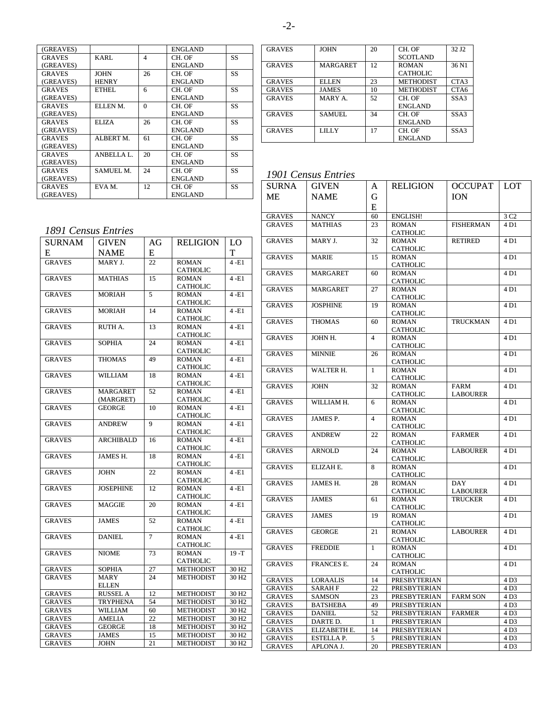|                   |          | ENGLAND        |    |
|-------------------|----------|----------------|----|
| KARL              | 4        | CH. OF         | SS |
|                   |          | ENGLAND        |    |
| <b>JOHN</b>       | 26       | CH. OF         | SS |
| HENRY             |          | ENGLAND        |    |
| ETHEL.            | 6        | CH. OF         | SS |
|                   |          | ENGLAND        |    |
| ELLEN M.          | $\Omega$ | CH. OF         | SS |
|                   |          | <b>ENGLAND</b> |    |
| ELIZA             | 26       | CH. OF         | SS |
|                   |          | ENGLAND        |    |
| ALBERT M.         | 61       | CH. OF         | SS |
|                   |          | ENGLAND        |    |
| <b>ANBELLA L.</b> | 20       | CH. OF         | SS |
|                   |          | <b>ENGLAND</b> |    |
| SAMUEL M.         | 24       | CH. OF         | SS |
|                   |          | ENGLAND        |    |
| EVA M.            | 12       | CH. OF         | SS |
|                   |          | ENGLAND        |    |
|                   |          |                |    |

| <b>GRAVES</b> | <b>JOHN</b>     | 20 | CH. OF           | 32 J <sub>2</sub> |
|---------------|-----------------|----|------------------|-------------------|
|               |                 |    | <b>SCOTLAND</b>  |                   |
| <b>GRAVES</b> | <b>MARGARET</b> | 12 | <b>ROMAN</b>     | 36 N1             |
|               |                 |    | <b>CATHOLIC</b>  |                   |
| <b>GRAVES</b> | <b>ELLEN</b>    | 23 | <b>METHODIST</b> | CTA <sub>3</sub>  |
| <b>GRAVES</b> | <b>JAMES</b>    | 10 | <b>METHODIST</b> | CTA6              |
| <b>GRAVES</b> | MARY A.         | 52 | CH. OF           | SSA3              |
|               |                 |    | <b>ENGLAND</b>   |                   |
| <b>GRAVES</b> | <b>SAMUEL</b>   | 34 | CH. OF           | SSA3              |
|               |                 |    | <b>ENGLAND</b>   |                   |
| <b>GRAVES</b> | <b>LILLY</b>    | 17 | CH. OF           | SSA3              |
|               |                 |    | <b>ENGLAND</b>   |                   |

# *1901 Census Entries*

| <b>SURNA</b>            | <b>GIVEN</b>            | A        | <b>RELIGION</b>          | <b>OCCUPAT</b>   | <b>LOT</b>               |
|-------------------------|-------------------------|----------|--------------------------|------------------|--------------------------|
| MЕ                      | <b>NAME</b>             | G        |                          | ION.             |                          |
|                         |                         | E        |                          |                  |                          |
|                         |                         |          |                          |                  |                          |
| GRAVES<br><b>GRAVES</b> | NANCY<br><b>MATHIAS</b> | 60<br>23 | ENGLISH!<br><b>ROMAN</b> | <b>FISHERMAN</b> | 3 C <sub>2</sub><br>4 D1 |
|                         |                         |          | <b>CATHOLIC</b>          |                  |                          |
| <b>GRAVES</b>           | MARY J.                 | 32       | <b>ROMAN</b>             | RETIRED          | 4 D1                     |
|                         |                         |          | CATHOLIC                 |                  |                          |
| <b>GRAVES</b>           | <b>MARIE</b>            | 15       | <b>ROMAN</b>             |                  | 4 D1                     |
|                         |                         |          | <b>CATHOLIC</b>          |                  |                          |
| <b>GRAVES</b>           | <b>MARGARET</b>         | 60       | <b>ROMAN</b>             |                  | 4 D1                     |
|                         |                         |          | <b>CATHOLIC</b>          |                  |                          |
| <b>GRAVES</b>           | <b>MARGARET</b>         | 27       | <b>ROMAN</b>             |                  | 4 D1                     |
|                         |                         |          | <b>CATHOLIC</b>          |                  |                          |
| <b>GRAVES</b>           | JOSPHINE                | 19       | <b>ROMAN</b>             |                  | 4 D1                     |
|                         |                         |          | <b>CATHOLIC</b>          |                  |                          |
| <b>GRAVES</b>           | <b>THOMAS</b>           | 60       | <b>ROMAN</b>             | <b>TRUCKMAN</b>  | 4 D1                     |
|                         |                         |          | <b>CATHOLIC</b>          |                  |                          |
| <b>GRAVES</b>           | JOHN H.                 | 4        | <b>ROMAN</b>             |                  | 4 D1                     |
|                         |                         |          | <b>CATHOLIC</b>          |                  |                          |
| <b>GRAVES</b>           | <b>MINNIE</b>           | 26       | <b>ROMAN</b>             |                  | 4 D1                     |
|                         |                         |          | <b>CATHOLIC</b>          |                  |                          |
| <b>GRAVES</b>           | WALTER H.               | 1        | <b>ROMAN</b>             |                  | 4 D1                     |
|                         |                         |          | CATHOLIC                 |                  |                          |
| <b>GRAVES</b>           | JOHN                    | 32       | <b>ROMAN</b>             | <b>FARM</b>      | 4 D1                     |
|                         |                         |          | CATHOLIC                 | <b>LABOURER</b>  |                          |
| <b>GRAVES</b>           | WILLIAM H.              | 6        | <b>ROMAN</b>             |                  | 4 D1                     |
|                         |                         |          | CATHOLIC                 |                  |                          |
| <b>GRAVES</b>           | JAMES P.                | 4        | <b>ROMAN</b>             |                  | 4 D1                     |
|                         |                         |          | <b>CATHOLIC</b>          |                  |                          |
| <b>GRAVES</b>           | <b>ANDREW</b>           | 22       | <b>ROMAN</b>             | <b>FARMER</b>    | 4 D1                     |
| <b>GRAVES</b>           | ARNOLD                  | 24       | CATHOLIC<br><b>ROMAN</b> | <b>LABOURER</b>  | 4 D1                     |
|                         |                         |          | CATHOLIC                 |                  |                          |
| <b>GRAVES</b>           | ELIZAH E.               | 8        | <b>ROMAN</b>             |                  | 4 D1                     |
|                         |                         |          | <b>CATHOLIC</b>          |                  |                          |
| <b>GRAVES</b>           | JAMES H.                | 28       | <b>ROMAN</b>             | DAY              | 4 D1                     |
|                         |                         |          | CATHOLIC                 | <b>LABOURER</b>  |                          |
| <b>GRAVES</b>           | <b>JAMES</b>            | 61       | <b>ROMAN</b>             | TRUCKER          | 4 D1                     |
|                         |                         |          | <b>CATHOLIC</b>          |                  |                          |
| <b>GRAVES</b>           | <b>JAMES</b>            | 19       | <b>ROMAN</b>             |                  | 4 D1                     |
|                         |                         |          | <b>CATHOLIC</b>          |                  |                          |
| <b>GRAVES</b>           | <b>GEORGE</b>           | 21       | <b>ROMAN</b>             | <b>LABOURER</b>  | 4 D1                     |
|                         |                         |          | <b>CATHOLIC</b>          |                  |                          |
| <b>GRAVES</b>           | <b>FREDDIE</b>          | 1        | <b>ROMAN</b>             |                  | 4 D1                     |
|                         |                         |          | <b>CATHOLIC</b>          |                  |                          |
| <b>GRAVES</b>           | FRANCES E.              | 24       | <b>ROMAN</b>             |                  | 4 D1                     |
|                         |                         |          | <b>CATHOLIC</b>          |                  |                          |
| GRAVES                  | LORAALIS                | 14       | PRESBYTERIAN             |                  | 4 D <sub>3</sub>         |
| <b>GRAVES</b>           | SARAH F                 | 22       | PRESBYTERIAN             |                  | 4 D <sub>3</sub>         |
| <b>GRAVES</b>           | <b>SAMSON</b>           | 23       | PRESBYTERIAN             | <b>FARM SON</b>  | 4 D <sub>3</sub>         |
| <b>GRAVES</b>           | <b>BATSHEBA</b>         | 49       | PRESBYTERIAN             |                  | 4 D <sub>3</sub>         |
| <b>GRAVES</b>           | <b>DANIEL</b>           | 52       | <b>PRESBYTERIAN</b>      | <b>FARMER</b>    | 4 D3                     |
| <b>GRAVES</b>           | DARTE D.                | 1        | PRESBYTERIAN             |                  | 4 D3                     |
| <b>GRAVES</b>           | ELIZABETH E.            | 14       | PRESBYTERIAN             |                  | 4 D3                     |
| <b>GRAVES</b>           | ESTELLA P.              | 5        | PRESBYTERIAN             |                  | 4 D3                     |
| <b>GRAVES</b>           | APLONA J.               | 20       | PRESBYTERIAN             |                  | 4 D <sub>3</sub>         |

# *1891 Census Entries*

| <b>SURNAM</b> | <b>GIVEN</b>     | AG | <b>RELIGION</b>                 | LO                |
|---------------|------------------|----|---------------------------------|-------------------|
| E             | <b>NAME</b>      |    |                                 | T                 |
| <b>GRAVES</b> | MARY J.          | 22 | <b>ROMAN</b>                    | $4 - E1$          |
|               |                  |    | <b>CATHOLIC</b>                 |                   |
| <b>GRAVES</b> | <b>MATHIAS</b>   | 15 | <b>ROMAN</b>                    | $4 - E1$          |
|               |                  |    | <b>CATHOLIC</b>                 |                   |
| <b>GRAVES</b> | <b>MORIAH</b>    | 5  | <b>ROMAN</b>                    | $4 - E1$          |
|               |                  |    | <b>CATHOLIC</b>                 |                   |
| <b>GRAVES</b> | <b>MORIAH</b>    | 14 | <b>ROMAN</b>                    | $4 - E1$          |
|               |                  |    | <b>CATHOLIC</b>                 |                   |
| <b>GRAVES</b> | RUTH A.          | 13 | <b>ROMAN</b>                    | $4 - E1$          |
| <b>GRAVES</b> | <b>SOPHIA</b>    | 24 | <b>CATHOLIC</b>                 | $4 - E1$          |
|               |                  |    | <b>ROMAN</b>                    |                   |
| <b>GRAVES</b> | <b>THOMAS</b>    | 49 | <b>CATHOLIC</b><br><b>ROMAN</b> | $4 - E1$          |
|               |                  |    | <b>CATHOLIC</b>                 |                   |
| <b>GRAVES</b> | <b>WILLIAM</b>   | 18 | <b>ROMAN</b>                    | $4 - E1$          |
|               |                  |    | <b>CATHOLIC</b>                 |                   |
| <b>GRAVES</b> | <b>MARGARET</b>  | 52 | <b>ROMAN</b>                    | $4 - E1$          |
|               | (MARGRET)        |    | <b>CATHOLIC</b>                 |                   |
| <b>GRAVES</b> | <b>GEORGE</b>    | 10 | <b>ROMAN</b>                    | $4 - E1$          |
|               |                  |    | <b>CATHOLIC</b>                 |                   |
| <b>GRAVES</b> | <b>ANDREW</b>    | 9  | <b>ROMAN</b>                    | $4 - E1$          |
|               |                  |    | <b>CATHOLIC</b>                 |                   |
| <b>GRAVES</b> | <b>ARCHIBALD</b> | 16 | <b>ROMAN</b>                    | $4 - E1$          |
|               |                  |    | <b>CATHOLIC</b>                 |                   |
| <b>GRAVES</b> | JAMES H.         | 18 | <b>ROMAN</b>                    | $4 - E1$          |
|               |                  |    | <b>CATHOLIC</b>                 |                   |
| <b>GRAVES</b> | <b>JOHN</b>      | 22 | <b>ROMAN</b>                    | $4 - E1$          |
|               |                  |    | <b>CATHOLIC</b>                 |                   |
| <b>GRAVES</b> | <b>JOSEPHINE</b> | 12 | <b>ROMAN</b>                    | $4 - E1$          |
|               |                  |    | <b>CATHOLIC</b>                 |                   |
| <b>GRAVES</b> | <b>MAGGIE</b>    | 20 | <b>ROMAN</b>                    | $4 - E1$          |
|               |                  |    | <b>CATHOLIC</b>                 |                   |
| <b>GRAVES</b> | <b>JAMES</b>     | 52 | <b>ROMAN</b>                    | $4 - E1$          |
|               |                  |    | <b>CATHOLIC</b>                 |                   |
| <b>GRAVES</b> | <b>DANIEL</b>    | 7  | <b>ROMAN</b>                    | $4 - E1$          |
|               |                  |    | <b>CATHOLIC</b>                 |                   |
| <b>GRAVES</b> | <b>NIOME</b>     | 73 | <b>ROMAN</b>                    | $19 - T$          |
|               |                  |    | <b>CATHOLIC</b>                 |                   |
| <b>GRAVES</b> | <b>SOPHIA</b>    | 27 | <b>METHODIST</b>                | 30 H2             |
| <b>GRAVES</b> | <b>MARY</b>      | 24 | <b>METHODIST</b>                | 30 H <sub>2</sub> |
|               | <b>ELLEN</b>     |    |                                 |                   |
| <b>GRAVES</b> | <b>RUSSEL A</b>  | 12 | <b>METHODIST</b>                | 30 H <sub>2</sub> |
| <b>GRAVES</b> | <b>TRYPHENA</b>  | 54 | <b>METHODIST</b>                | 30 H <sub>2</sub> |
| <b>GRAVES</b> | <b>WILLIAM</b>   | 60 | <b>METHODIST</b>                | 30 H <sub>2</sub> |
| <b>GRAVES</b> | <b>AMELIA</b>    | 22 | <b>METHODIST</b>                | 30 H <sub>2</sub> |
| <b>GRAVES</b> | <b>GEORGE</b>    | 18 | <b>METHODIST</b>                | 30 H <sub>2</sub> |
| <b>GRAVES</b> | <b>JAMES</b>     | 15 | <b>METHODIST</b>                | 30 H <sub>2</sub> |
| <b>GRAVES</b> | <b>JOHN</b>      | 21 | <b>METHODIST</b>                | 30 H <sub>2</sub> |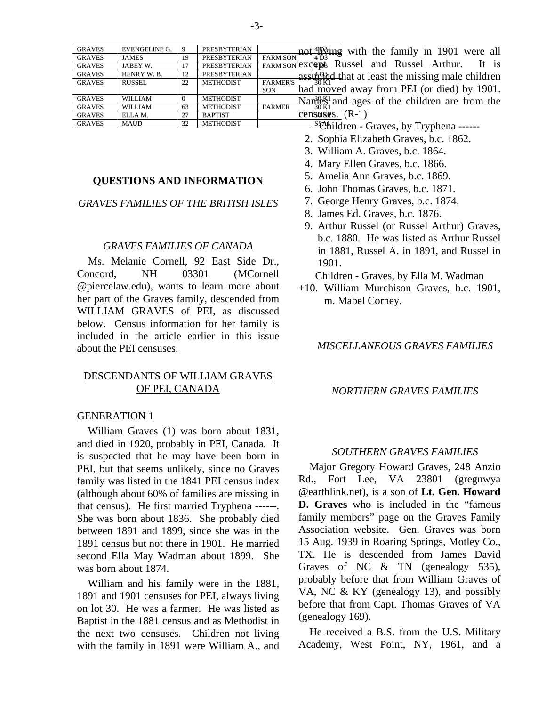| <b>GRAVES</b> | <b>EVENGELINE G.</b> |    | <b>PRESBYTERIAN</b> | not <sup>4</sup> Ping<br>with the family in 1901 were all |
|---------------|----------------------|----|---------------------|-----------------------------------------------------------|
| <b>GRAVES</b> | <b>JAMES</b>         | 19 | <b>PRESBYTERIAN</b> | <b>FARM SON</b><br>4 D <sub>3</sub>                       |
| <b>GRAVES</b> | JABEY W.             |    | <b>PRESBYTERIAN</b> | It is<br><b>FARM SON EXCEDE Russel</b> and Russel Arthur. |
| <b>GRAVES</b> | HENRY W.B.           | 12 | <b>PRESBYTERIAN</b> | as in the missing male children                           |
| <b>GRAVES</b> | <b>RUSSEL</b>        | 22 | <b>METHODIST</b>    | <b>FARMER'S</b><br>30 K <sub>1</sub>                      |
|               |                      |    |                     | had moved away from PEI (or died) by 1901.<br>SON         |
| <b>GRAVES</b> | <b>WILLIAM</b>       | 0  | <b>METHODIST</b>    | $N \frac{dN}{dx}$ and ages of the children are from the   |
| <b>GRAVES</b> | <b>WILLIAM</b>       | 63 | <b>METHODIST</b>    | <b>FARMER</b><br>30 K 1                                   |
| <b>GRAVES</b> | ELLAM.               | 27 | <b>BAPTIST</b>      | $\overline{\text{censures.}}$ (R-1)                       |
| <b>GRAVES</b> | MAUD                 | 32 | <b>METHODIST</b>    | $S_{\mathcal{F}}^{\text{A}}$ hildren Graves by Tryphena   |

- **Thildren Graves, by Tryphena ------**
- 2. Sophia Elizabeth Graves, b.c. 1862.
- 3. William A. Graves, b.c. 1864.
- 4. Mary Ellen Graves, b.c. 1866.
- 5. Amelia Ann Graves, b.c. 1869.
- 6. John Thomas Graves, b.c. 1871.
- 7. George Henry Graves, b.c. 1874.
- 8. James Ed. Graves, b.c. 1876.
- 9. Arthur Russel (or Russel Arthur) Graves, b.c. 1880. He was listed as Arthur Russel in 1881, Russel A. in 1891, and Russel in 1901.

Children - Graves, by Ella M. Wadman

+10. William Murchison Graves, b.c. 1901, m. Mabel Corney.

#### *MISCELLANEOUS GRAVES FAMILIES*

#### *NORTHERN GRAVES FAMILIES*

#### *SOUTHERN GRAVES FAMILIES*

Major Gregory Howard Graves, 248 Anzio Rd., Fort Lee, VA 23801 (gregnwya @earthlink.net), is a son of **Lt. Gen. Howard D. Graves** who is included in the "famous family members" page on the Graves Family Association website. Gen. Graves was born 15 Aug. 1939 in Roaring Springs, Motley Co., TX. He is descended from James David Graves of NC & TN (genealogy 535), probably before that from William Graves of VA, NC & KY (genealogy 13), and possibly before that from Capt. Thomas Graves of VA (genealogy 169).

He received a B.S. from the U.S. Military Academy, West Point, NY, 1961, and a

## **QUESTIONS AND INFORMATION**

*GRAVES FAMILIES OF THE BRITISH ISLES* 

#### *GRAVES FAMILIES OF CANADA*

Ms. Melanie Cornell, 92 East Side Dr., Concord, NH 03301 (MCornell @piercelaw.edu), wants to learn more about her part of the Graves family, descended from WILLIAM GRAVES of PEI, as discussed below. Census information for her family is included in the article earlier in this issue about the PEI censuses.

## DESCENDANTS OF WILLIAM GRAVES OF PEI, CANADA

#### GENERATION 1

William Graves (1) was born about 1831, and died in 1920, probably in PEI, Canada. It is suspected that he may have been born in PEI, but that seems unlikely, since no Graves family was listed in the 1841 PEI census index (although about 60% of families are missing in that census). He first married Tryphena ------. She was born about 1836. She probably died between 1891 and 1899, since she was in the 1891 census but not there in 1901. He married second Ella May Wadman about 1899. She was born about 1874.

William and his family were in the 1881, 1891 and 1901 censuses for PEI, always living on lot 30. He was a farmer. He was listed as Baptist in the 1881 census and as Methodist in the next two censuses. Children not living with the family in 1891 were William A., and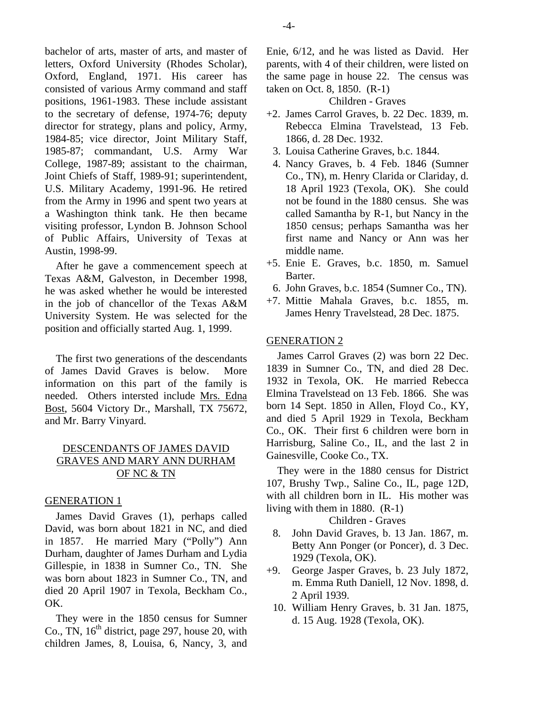bachelor of arts, master of arts, and master of letters, Oxford University (Rhodes Scholar), Oxford, England, 1971. His career has consisted of various Army command and staff positions, 1961-1983. These include assistant to the secretary of defense, 1974-76; deputy director for strategy, plans and policy, Army, 1984-85; vice director, Joint Military Staff, 1985-87; commandant, U.S. Army War College, 1987-89; assistant to the chairman, Joint Chiefs of Staff, 1989-91; superintendent, U.S. Military Academy, 1991-96. He retired from the Army in 1996 and spent two years at a Washington think tank. He then became visiting professor, Lyndon B. Johnson School of Public Affairs, University of Texas at Austin, 1998-99.

After he gave a commencement speech at Texas A&M, Galveston, in December 1998, he was asked whether he would be interested in the job of chancellor of the Texas A&M University System. He was selected for the position and officially started Aug. 1, 1999.

The first two generations of the descendants of James David Graves is below. More information on this part of the family is needed. Others intersted include Mrs. Edna Bost, 5604 Victory Dr., Marshall, TX 75672, and Mr. Barry Vinyard.

## DESCENDANTS OF JAMES DAVID GRAVES AND MARY ANN DURHAM OF NC & TN

## GENERATION 1

James David Graves (1), perhaps called David, was born about 1821 in NC, and died in 1857. He married Mary ("Polly") Ann Durham, daughter of James Durham and Lydia Gillespie, in 1838 in Sumner Co., TN. She was born about 1823 in Sumner Co., TN, and died 20 April 1907 in Texola, Beckham Co., OK.

They were in the 1850 census for Sumner Co., TN,  $16<sup>th</sup>$  district, page 297, house 20, with children James, 8, Louisa, 6, Nancy, 3, and

Enie, 6/12, and he was listed as David. Her parents, with 4 of their children, were listed on the same page in house 22. The census was taken on Oct. 8, 1850. (R-1)

Children - Graves

- +2. James Carrol Graves, b. 22 Dec. 1839, m. Rebecca Elmina Travelstead, 13 Feb. 1866, d. 28 Dec. 1932.
	- 3. Louisa Catherine Graves, b.c. 1844.
- 4. Nancy Graves, b. 4 Feb. 1846 (Sumner Co., TN), m. Henry Clarida or Clariday, d. 18 April 1923 (Texola, OK). She could not be found in the 1880 census. She was called Samantha by R-1, but Nancy in the 1850 census; perhaps Samantha was her first name and Nancy or Ann was her middle name.
- +5. Enie E. Graves, b.c. 1850, m. Samuel Barter.
- 6. John Graves, b.c. 1854 (Sumner Co., TN).
- +7. Mittie Mahala Graves, b.c. 1855, m. James Henry Travelstead, 28 Dec. 1875.

## GENERATION 2

James Carrol Graves (2) was born 22 Dec. 1839 in Sumner Co., TN, and died 28 Dec. 1932 in Texola, OK. He married Rebecca Elmina Travelstead on 13 Feb. 1866. She was born 14 Sept. 1850 in Allen, Floyd Co., KY, and died 5 April 1929 in Texola, Beckham Co., OK. Their first 6 children were born in Harrisburg, Saline Co., IL, and the last 2 in Gainesville, Cooke Co., TX.

They were in the 1880 census for District 107, Brushy Twp., Saline Co., IL, page 12D, with all children born in IL. His mother was living with them in 1880. (R-1)

## Children - Graves

- 8. John David Graves, b. 13 Jan. 1867, m. Betty Ann Ponger (or Poncer), d. 3 Dec. 1929 (Texola, OK).
- +9. George Jasper Graves, b. 23 July 1872, m. Emma Ruth Daniell, 12 Nov. 1898, d. 2 April 1939.
	- 10. William Henry Graves, b. 31 Jan. 1875, d. 15 Aug. 1928 (Texola, OK).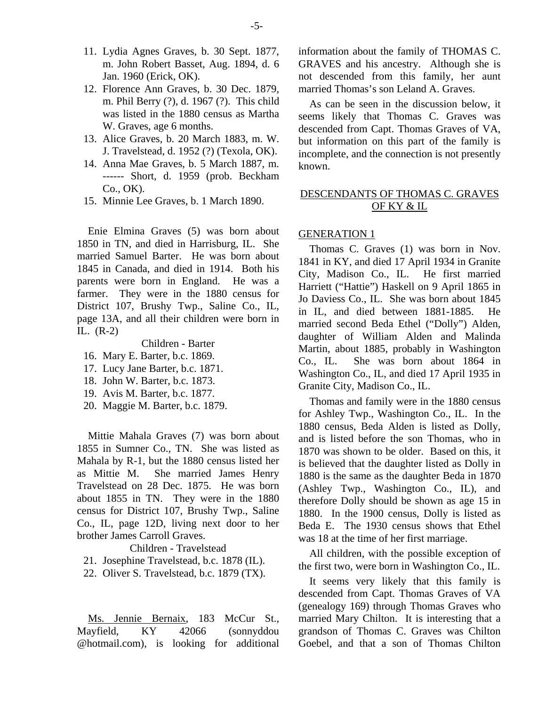- 11. Lydia Agnes Graves, b. 30 Sept. 1877, m. John Robert Basset, Aug. 1894, d. 6 Jan. 1960 (Erick, OK).
- 12. Florence Ann Graves, b. 30 Dec. 1879, m. Phil Berry (?), d. 1967 (?). This child was listed in the 1880 census as Martha W. Graves, age 6 months.
- 13. Alice Graves, b. 20 March 1883, m. W. J. Travelstead, d. 1952 (?) (Texola, OK).
- 14. Anna Mae Graves, b. 5 March 1887, m. ------ Short, d. 1959 (prob. Beckham Co., OK).
- 15. Minnie Lee Graves, b. 1 March 1890.

Enie Elmina Graves (5) was born about 1850 in TN, and died in Harrisburg, IL. She married Samuel Barter. He was born about 1845 in Canada, and died in 1914. Both his parents were born in England. He was a farmer. They were in the 1880 census for District 107, Brushy Twp., Saline Co., IL, page 13A, and all their children were born in IL. (R-2)

Children - Barter

- 16. Mary E. Barter, b.c. 1869.
- 17. Lucy Jane Barter, b.c. 1871.
- 18. John W. Barter, b.c. 1873.
- 19. Avis M. Barter, b.c. 1877.
- 20. Maggie M. Barter, b.c. 1879.

Mittie Mahala Graves (7) was born about 1855 in Sumner Co., TN. She was listed as Mahala by R-1, but the 1880 census listed her as Mittie M. She married James Henry Travelstead on 28 Dec. 1875. He was born about 1855 in TN. They were in the 1880 census for District 107, Brushy Twp., Saline Co., IL, page 12D, living next door to her brother James Carroll Graves.

Children - Travelstead

21. Josephine Travelstead, b.c. 1878 (IL).

22. Oliver S. Travelstead, b.c. 1879 (TX).

Ms. Jennie Bernaix, 183 McCur St., Mayfield, KY 42066 (sonnyddou @hotmail.com), is looking for additional information about the family of THOMAS C. GRAVES and his ancestry. Although she is not descended from this family, her aunt married Thomas's son Leland A. Graves.

As can be seen in the discussion below, it seems likely that Thomas C. Graves was descended from Capt. Thomas Graves of VA, but information on this part of the family is incomplete, and the connection is not presently known.

## DESCENDANTS OF THOMAS C. GRAVES OF KY & IL

#### GENERATION 1

Thomas C. Graves (1) was born in Nov. 1841 in KY, and died 17 April 1934 in Granite City, Madison Co., IL. He first married Harriett ("Hattie") Haskell on 9 April 1865 in Jo Daviess Co., IL. She was born about 1845 in IL, and died between 1881-1885. He married second Beda Ethel ("Dolly") Alden, daughter of William Alden and Malinda Martin, about 1885, probably in Washington Co., IL. She was born about 1864 in Washington Co., IL, and died 17 April 1935 in Granite City, Madison Co., IL.

Thomas and family were in the 1880 census for Ashley Twp., Washington Co., IL. In the 1880 census, Beda Alden is listed as Dolly, and is listed before the son Thomas, who in 1870 was shown to be older. Based on this, it is believed that the daughter listed as Dolly in 1880 is the same as the daughter Beda in 1870 (Ashley Twp., Washington Co., IL), and therefore Dolly should be shown as age 15 in 1880. In the 1900 census, Dolly is listed as Beda E. The 1930 census shows that Ethel was 18 at the time of her first marriage.

All children, with the possible exception of the first two, were born in Washington Co., IL.

It seems very likely that this family is descended from Capt. Thomas Graves of VA (genealogy 169) through Thomas Graves who married Mary Chilton. It is interesting that a grandson of Thomas C. Graves was Chilton Goebel, and that a son of Thomas Chilton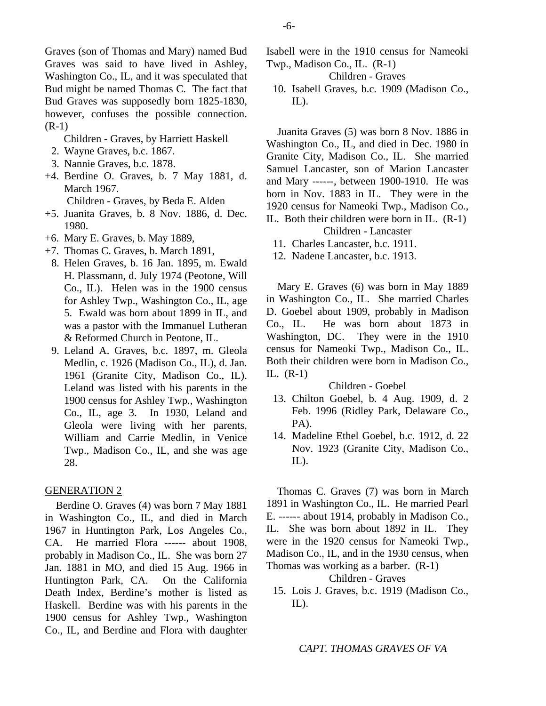Graves (son of Thomas and Mary) named Bud Graves was said to have lived in Ashley, Washington Co., IL, and it was speculated that Bud might be named Thomas C. The fact that Bud Graves was supposedly born 1825-1830, however, confuses the possible connection. (R-1)

Children - Graves, by Harriett Haskell

- 2. Wayne Graves, b.c. 1867.
- 3. Nannie Graves, b.c. 1878.
- +4. Berdine O. Graves, b. 7 May 1881, d. March 1967.

Children - Graves, by Beda E. Alden

- +5. Juanita Graves, b. 8 Nov. 1886, d. Dec. 1980.
- +6. Mary E. Graves, b. May 1889,
- +7. Thomas C. Graves, b. March 1891,
- 8. Helen Graves, b. 16 Jan. 1895, m. Ewald H. Plassmann, d. July 1974 (Peotone, Will Co., IL). Helen was in the 1900 census for Ashley Twp., Washington Co., IL, age 5. Ewald was born about 1899 in IL, and was a pastor with the Immanuel Lutheran & Reformed Church in Peotone, IL.
- 9. Leland A. Graves, b.c. 1897, m. Gleola Medlin, c. 1926 (Madison Co., IL), d. Jan. 1961 (Granite City, Madison Co., IL). Leland was listed with his parents in the 1900 census for Ashley Twp., Washington Co., IL, age 3. In 1930, Leland and Gleola were living with her parents, William and Carrie Medlin, in Venice Twp., Madison Co., IL, and she was age 28.

## GENERATION 2

Berdine O. Graves (4) was born 7 May 1881 in Washington Co., IL, and died in March 1967 in Huntington Park, Los Angeles Co., CA. He married Flora ------ about 1908, probably in Madison Co., IL. She was born 27 Jan. 1881 in MO, and died 15 Aug. 1966 in Huntington Park, CA. On the California Death Index, Berdine's mother is listed as Haskell. Berdine was with his parents in the 1900 census for Ashley Twp., Washington Co., IL, and Berdine and Flora with daughter Isabell were in the 1910 census for Nameoki Twp., Madison Co., IL. (R-1)

Children - Graves

 10. Isabell Graves, b.c. 1909 (Madison Co.,  $IL$ ).

Juanita Graves (5) was born 8 Nov. 1886 in Washington Co., IL, and died in Dec. 1980 in Granite City, Madison Co., IL. She married Samuel Lancaster, son of Marion Lancaster and Mary ------, between 1900-1910. He was born in Nov. 1883 in IL. They were in the 1920 census for Nameoki Twp., Madison Co., IL. Both their children were born in IL. (R-1)

Children - Lancaster

11. Charles Lancaster, b.c. 1911.

12. Nadene Lancaster, b.c. 1913.

Mary E. Graves (6) was born in May 1889 in Washington Co., IL. She married Charles D. Goebel about 1909, probably in Madison Co., IL. He was born about 1873 in Washington, DC. They were in the 1910 census for Nameoki Twp., Madison Co., IL. Both their children were born in Madison Co., IL. (R-1)

#### Children - Goebel

- 13. Chilton Goebel, b. 4 Aug. 1909, d. 2 Feb. 1996 (Ridley Park, Delaware Co., PA).
- 14. Madeline Ethel Goebel, b.c. 1912, d. 22 Nov. 1923 (Granite City, Madison Co.,  $IL$ ).

Thomas C. Graves (7) was born in March 1891 in Washington Co., IL. He married Pearl E. ------ about 1914, probably in Madison Co., IL. She was born about 1892 in IL. They were in the 1920 census for Nameoki Twp., Madison Co., IL, and in the 1930 census, when Thomas was working as a barber. (R-1)

Children - Graves

 15. Lois J. Graves, b.c. 1919 (Madison Co.,  $IL$ ).

-6-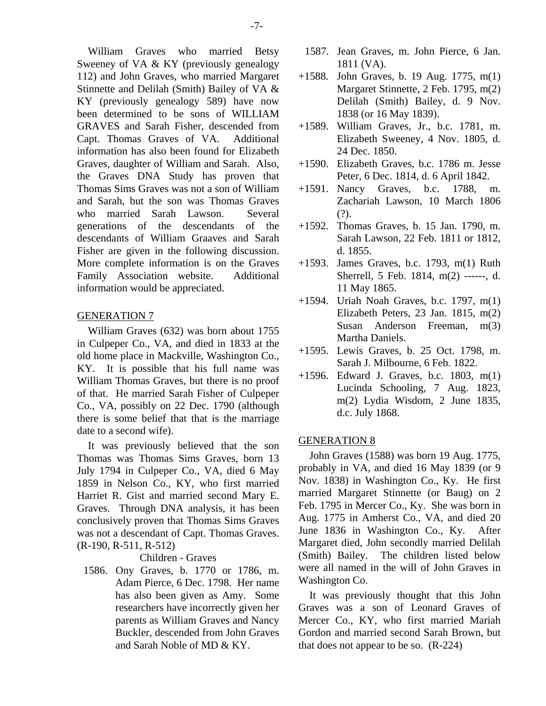William Graves who married Betsy Sweeney of VA & KY (previously genealogy 112) and John Graves, who married Margaret Stinnette and Delilah (Smith) Bailey of VA & KY (previously genealogy 589) have now been determined to be sons of WILLIAM GRAVES and Sarah Fisher, descended from Capt. Thomas Graves of VA. Additional information has also been found for Elizabeth Graves, daughter of William and Sarah. Also, the Graves DNA Study has proven that Thomas Sims Graves was not a son of William and Sarah, but the son was Thomas Graves who married Sarah Lawson. Several generations of the descendants of the descendants of William Graaves and Sarah Fisher are given in the following discussion. More complete information is on the Graves Family Association website. Additional information would be appreciated.

#### GENERATION 7

William Graves (632) was born about 1755 in Culpeper Co., VA, and died in 1833 at the old home place in Mackville, Washington Co., KY. It is possible that his full name was William Thomas Graves, but there is no proof of that. He married Sarah Fisher of Culpeper Co., VA, possibly on 22 Dec. 1790 (although there is some belief that that is the marriage date to a second wife).

It was previously believed that the son Thomas was Thomas Sims Graves, born 13 July 1794 in Culpeper Co., VA, died 6 May 1859 in Nelson Co., KY, who first married Harriet R. Gist and married second Mary E. Graves. Through DNA analysis, it has been conclusively proven that Thomas Sims Graves was not a descendant of Capt. Thomas Graves. (R-190, R-511, R-512)

Children - Graves

 1586. Ony Graves, b. 1770 or 1786, m. Adam Pierce, 6 Dec. 1798. Her name has also been given as Amy. Some researchers have incorrectly given her parents as William Graves and Nancy Buckler, descended from John Graves and Sarah Noble of MD & KY.

- 1587. Jean Graves, m. John Pierce, 6 Jan. 1811 (VA).
- +1588. John Graves, b. 19 Aug. 1775, m(1) Margaret Stinnette, 2 Feb. 1795, m(2) Delilah (Smith) Bailey, d. 9 Nov. 1838 (or 16 May 1839).
- +1589. William Graves, Jr., b.c. 1781, m. Elizabeth Sweeney, 4 Nov. 1805, d. 24 Dec. 1850.
- +1590. Elizabeth Graves, b.c. 1786 m. Jesse Peter, 6 Dec. 1814, d. 6 April 1842.
- +1591. Nancy Graves, b.c. 1788, m. Zachariah Lawson, 10 March 1806 (?).
- +1592. Thomas Graves, b. 15 Jan. 1790, m. Sarah Lawson, 22 Feb. 1811 or 1812, d. 1855.
- +1593. James Graves, b.c. 1793, m(1) Ruth Sherrell, 5 Feb. 1814, m(2) ------, d. 11 May 1865.
- +1594. Uriah Noah Graves, b.c. 1797, m(1) Elizabeth Peters, 23 Jan. 1815, m(2) Susan Anderson Freeman, m(3) Martha Daniels.
- +1595. Lewis Graves, b. 25 Oct. 1798, m. Sarah J. Milbourne, 6 Feb. 1822.
- +1596. Edward J. Graves, b.c. 1803, m(1) Lucinda Schooling, 7 Aug. 1823, m(2) Lydia Wisdom, 2 June 1835, d.c. July 1868.

#### GENERATION 8

John Graves (1588) was born 19 Aug. 1775, probably in VA, and died 16 May 1839 (or 9 Nov. 1838) in Washington Co., Ky. He first married Margaret Stinnette (or Baug) on 2 Feb. 1795 in Mercer Co., Ky. She was born in Aug. 1775 in Amherst Co., VA, and died 20 June 1836 in Washington Co., Ky. After Margaret died, John secondly married Delilah (Smith) Bailey. The children listed below were all named in the will of John Graves in Washington Co.

It was previously thought that this John Graves was a son of Leonard Graves of Mercer Co., KY, who first married Mariah Gordon and married second Sarah Brown, but that does not appear to be so. (R-224)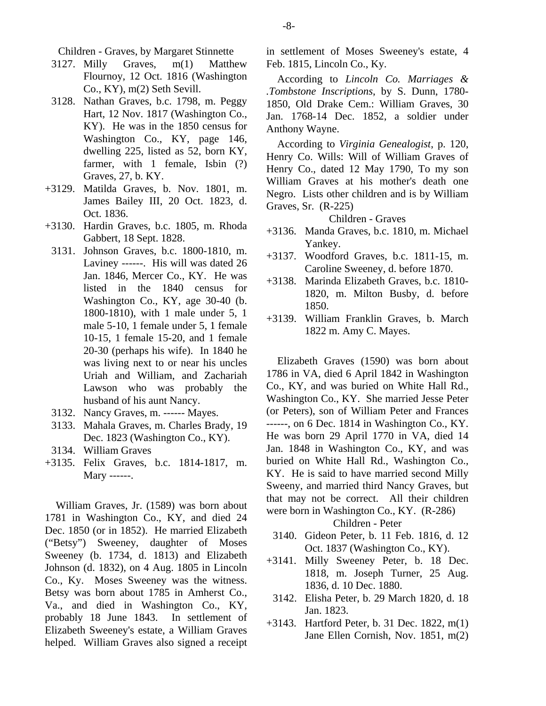Children - Graves, by Margaret Stinnette

- 3127. Milly Graves, m(1) Matthew Flournoy, 12 Oct. 1816 (Washington Co., KY), m(2) Seth Sevill.
- 3128. Nathan Graves, b.c. 1798, m. Peggy Hart, 12 Nov. 1817 (Washington Co., KY). He was in the 1850 census for Washington Co., KY, page 146, dwelling 225, listed as 52, born KY, farmer, with 1 female, Isbin (?) Graves, 27, b. KY.
- +3129. Matilda Graves, b. Nov. 1801, m. James Bailey III, 20 Oct. 1823, d. Oct. 1836.
- +3130. Hardin Graves, b.c. 1805, m. Rhoda Gabbert, 18 Sept. 1828.
- 3131. Johnson Graves, b.c. 1800-1810, m. Laviney ------. His will was dated 26 Jan. 1846, Mercer Co., KY. He was listed in the 1840 census for Washington Co., KY, age 30-40 (b. 1800-1810), with 1 male under 5, 1 male 5-10, 1 female under 5, 1 female 10-15, 1 female 15-20, and 1 female 20-30 (perhaps his wife). In 1840 he was living next to or near his uncles Uriah and William, and Zachariah Lawson who was probably the husband of his aunt Nancy.
- 3132. Nancy Graves, m. ------ Mayes.
- 3133. Mahala Graves, m. Charles Brady, 19 Dec. 1823 (Washington Co., KY).
- 3134. William Graves
- +3135. Felix Graves, b.c. 1814-1817, m. Mary ------.

William Graves, Jr. (1589) was born about 1781 in Washington Co., KY, and died 24 Dec. 1850 (or in 1852). He married Elizabeth ("Betsy") Sweeney, daughter of Moses Sweeney (b. 1734, d. 1813) and Elizabeth Johnson (d. 1832), on 4 Aug. 1805 in Lincoln Co., Ky. Moses Sweeney was the witness. Betsy was born about 1785 in Amherst Co., Va., and died in Washington Co., KY, probably 18 June 1843. In settlement of Elizabeth Sweeney's estate, a William Graves helped. William Graves also signed a receipt in settlement of Moses Sweeney's estate, 4 Feb. 1815, Lincoln Co., Ky.

According to *Lincoln Co. Marriages & .Tombstone Inscriptions*, by S. Dunn, 1780- 1850, Old Drake Cem.: William Graves, 30 Jan. 1768-14 Dec. 1852, a soldier under Anthony Wayne.

According to *Virginia Genealogist*, p. 120, Henry Co. Wills: Will of William Graves of Henry Co., dated 12 May 1790, To my son William Graves at his mother's death one Negro. Lists other children and is by William Graves, Sr. (R-225)

Children - Graves

- +3136. Manda Graves, b.c. 1810, m. Michael Yankey.
- +3137. Woodford Graves, b.c. 1811-15, m. Caroline Sweeney, d. before 1870.
- +3138. Marinda Elizabeth Graves, b.c. 1810- 1820, m. Milton Busby, d. before 1850.
- +3139. William Franklin Graves, b. March 1822 m. Amy C. Mayes.

Elizabeth Graves (1590) was born about 1786 in VA, died 6 April 1842 in Washington Co., KY, and was buried on White Hall Rd., Washington Co., KY. She married Jesse Peter (or Peters), son of William Peter and Frances ------, on 6 Dec. 1814 in Washington Co., KY. He was born 29 April 1770 in VA, died 14 Jan. 1848 in Washington Co., KY, and was buried on White Hall Rd., Washington Co., KY. He is said to have married second Milly Sweeny, and married third Nancy Graves, but that may not be correct. All their children were born in Washington Co., KY. (R-286)

Children - Peter

- 3140. Gideon Peter, b. 11 Feb. 1816, d. 12 Oct. 1837 (Washington Co., KY).
- +3141. Milly Sweeney Peter, b. 18 Dec. 1818, m. Joseph Turner, 25 Aug. 1836, d. 10 Dec. 1880.
	- 3142. Elisha Peter, b. 29 March 1820, d. 18 Jan. 1823.
- +3143. Hartford Peter, b. 31 Dec. 1822, m(1) Jane Ellen Cornish, Nov. 1851, m(2)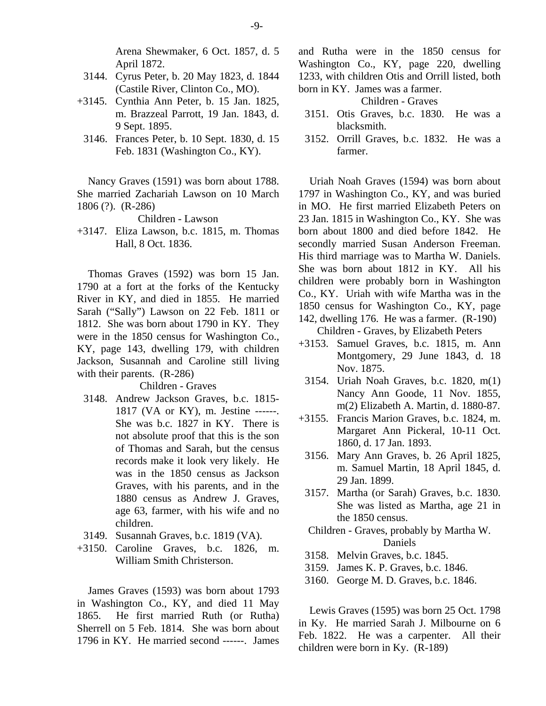Arena Shewmaker, 6 Oct. 1857, d. 5 April 1872.

- 3144. Cyrus Peter, b. 20 May 1823, d. 1844 (Castile River, Clinton Co., MO).
- +3145. Cynthia Ann Peter, b. 15 Jan. 1825, m. Brazzeal Parrott, 19 Jan. 1843, d. 9 Sept. 1895.
- 3146. Frances Peter, b. 10 Sept. 1830, d. 15 Feb. 1831 (Washington Co., KY).

Nancy Graves (1591) was born about 1788. She married Zachariah Lawson on 10 March 1806 (?). (R-286)

Children - Lawson

+3147. Eliza Lawson, b.c. 1815, m. Thomas Hall, 8 Oct. 1836.

Thomas Graves (1592) was born 15 Jan. 1790 at a fort at the forks of the Kentucky River in KY, and died in 1855. He married Sarah ("Sally") Lawson on 22 Feb. 1811 or 1812. She was born about 1790 in KY. They were in the 1850 census for Washington Co., KY, page 143, dwelling 179, with children Jackson, Susannah and Caroline still living with their parents. (R-286)

#### Children - Graves

- 3148. Andrew Jackson Graves, b.c. 1815- 1817 (VA or KY), m. Jestine ------. She was b.c. 1827 in KY. There is not absolute proof that this is the son of Thomas and Sarah, but the census records make it look very likely. He was in the 1850 census as Jackson Graves, with his parents, and in the 1880 census as Andrew J. Graves, age 63, farmer, with his wife and no children.
- 3149. Susannah Graves, b.c. 1819 (VA).
- +3150. Caroline Graves, b.c. 1826, m. William Smith Christerson.

James Graves (1593) was born about 1793 in Washington Co., KY, and died 11 May 1865. He first married Ruth (or Rutha) Sherrell on 5 Feb. 1814. She was born about 1796 in KY. He married second ------. James and Rutha were in the 1850 census for Washington Co., KY, page 220, dwelling 1233, with children Otis and Orrill listed, both born in KY. James was a farmer.

Children - Graves

- 3151. Otis Graves, b.c. 1830. He was a blacksmith.
- 3152. Orrill Graves, b.c. 1832. He was a farmer.

Uriah Noah Graves (1594) was born about 1797 in Washington Co., KY, and was buried in MO. He first married Elizabeth Peters on 23 Jan. 1815 in Washington Co., KY. She was born about 1800 and died before 1842. He secondly married Susan Anderson Freeman. His third marriage was to Martha W. Daniels. She was born about 1812 in KY. All his children were probably born in Washington Co., KY. Uriah with wife Martha was in the 1850 census for Washington Co., KY, page 142, dwelling 176. He was a farmer. (R-190)

Children - Graves, by Elizabeth Peters

- +3153. Samuel Graves, b.c. 1815, m. Ann Montgomery, 29 June 1843, d. 18 Nov. 1875.
- 3154. Uriah Noah Graves, b.c. 1820, m(1) Nancy Ann Goode, 11 Nov. 1855, m(2) Elizabeth A. Martin, d. 1880-87.
- +3155. Francis Marion Graves, b.c. 1824, m. Margaret Ann Pickeral, 10-11 Oct. 1860, d. 17 Jan. 1893.
	- 3156. Mary Ann Graves, b. 26 April 1825, m. Samuel Martin, 18 April 1845, d. 29 Jan. 1899.
- 3157. Martha (or Sarah) Graves, b.c. 1830. She was listed as Martha, age 21 in the 1850 census.
- Children Graves, probably by Martha W. Daniels
- 3158. Melvin Graves, b.c. 1845.
- 3159. James K. P. Graves, b.c. 1846.
- 3160. George M. D. Graves, b.c. 1846.

Lewis Graves (1595) was born 25 Oct. 1798 in Ky. He married Sarah J. Milbourne on 6 Feb. 1822. He was a carpenter. All their children were born in Ky. (R-189)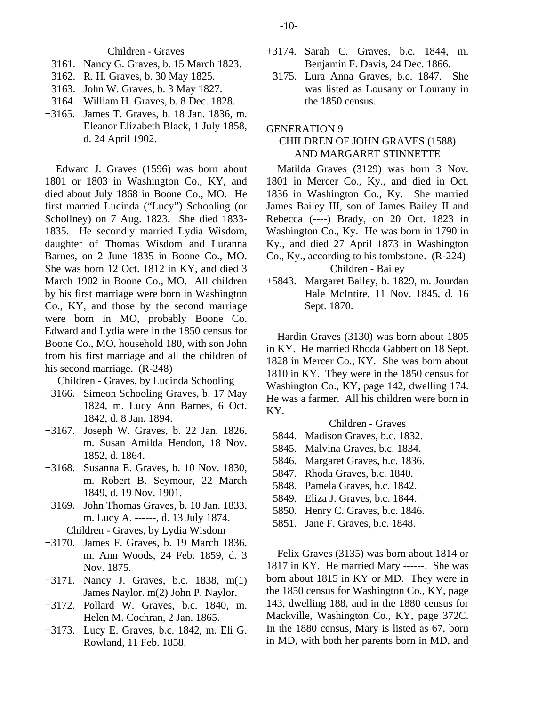Children - Graves

- 3161. Nancy G. Graves, b. 15 March 1823.
- 3162. R. H. Graves, b. 30 May 1825.
- 3163. John W. Graves, b. 3 May 1827.
- 3164. William H. Graves, b. 8 Dec. 1828.
- +3165. James T. Graves, b. 18 Jan. 1836, m. Eleanor Elizabeth Black, 1 July 1858, d. 24 April 1902.

Edward J. Graves (1596) was born about 1801 or 1803 in Washington Co., KY, and died about July 1868 in Boone Co., MO. He first married Lucinda ("Lucy") Schooling (or Schollney) on 7 Aug. 1823. She died 1833- 1835. He secondly married Lydia Wisdom, daughter of Thomas Wisdom and Luranna Barnes, on 2 June 1835 in Boone Co., MO. She was born 12 Oct. 1812 in KY, and died 3 March 1902 in Boone Co., MO. All children by his first marriage were born in Washington Co., KY, and those by the second marriage were born in MO, probably Boone Co. Edward and Lydia were in the 1850 census for Boone Co., MO, household 180, with son John from his first marriage and all the children of his second marriage. (R-248)

Children - Graves, by Lucinda Schooling

- +3166. Simeon Schooling Graves, b. 17 May 1824, m. Lucy Ann Barnes, 6 Oct. 1842, d. 8 Jan. 1894.
- +3167. Joseph W. Graves, b. 22 Jan. 1826, m. Susan Amilda Hendon, 18 Nov. 1852, d. 1864.
- +3168. Susanna E. Graves, b. 10 Nov. 1830, m. Robert B. Seymour, 22 March 1849, d. 19 Nov. 1901.
- +3169. John Thomas Graves, b. 10 Jan. 1833, m. Lucy A. ------, d. 13 July 1874. Children - Graves, by Lydia Wisdom
- +3170. James F. Graves, b. 19 March 1836, m. Ann Woods, 24 Feb. 1859, d. 3 Nov. 1875.
- +3171. Nancy J. Graves, b.c. 1838, m(1) James Naylor. m(2) John P. Naylor.
- +3172. Pollard W. Graves, b.c. 1840, m. Helen M. Cochran, 2 Jan. 1865.
- +3173. Lucy E. Graves, b.c. 1842, m. Eli G. Rowland, 11 Feb. 1858.
- +3174. Sarah C. Graves, b.c. 1844, m. Benjamin F. Davis, 24 Dec. 1866.
	- 3175. Lura Anna Graves, b.c. 1847. She was listed as Lousany or Lourany in the 1850 census.

GENERATION 9

## CHILDREN OF JOHN GRAVES (1588) AND MARGARET STINNETTE

Matilda Graves (3129) was born 3 Nov. 1801 in Mercer Co., Ky., and died in Oct. 1836 in Washington Co., Ky. She married James Bailey III, son of James Bailey II and Rebecca (----) Brady, on 20 Oct. 1823 in Washington Co., Ky. He was born in 1790 in Ky., and died 27 April 1873 in Washington Co., Ky., according to his tombstone. (R-224) Children - Bailey

+5843. Margaret Bailey, b. 1829, m. Jourdan Hale McIntire, 11 Nov. 1845, d. 16 Sept. 1870.

Hardin Graves (3130) was born about 1805 in KY. He married Rhoda Gabbert on 18 Sept. 1828 in Mercer Co., KY. She was born about 1810 in KY. They were in the 1850 census for Washington Co., KY, page 142, dwelling 174. He was a farmer. All his children were born in KY.

## Children - Graves

- 5844. Madison Graves, b.c. 1832.
- 5845. Malvina Graves, b.c. 1834.
- 5846. Margaret Graves, b.c. 1836.
- 5847. Rhoda Graves, b.c. 1840.
- 5848. Pamela Graves, b.c. 1842.
- 5849. Eliza J. Graves, b.c. 1844.
- 5850. Henry C. Graves, b.c. 1846.
- 5851. Jane F. Graves, b.c. 1848.

Felix Graves (3135) was born about 1814 or 1817 in KY. He married Mary ------. She was born about 1815 in KY or MD. They were in the 1850 census for Washington Co., KY, page 143, dwelling 188, and in the 1880 census for Mackville, Washington Co., KY, page 372C. In the 1880 census, Mary is listed as 67, born in MD, with both her parents born in MD, and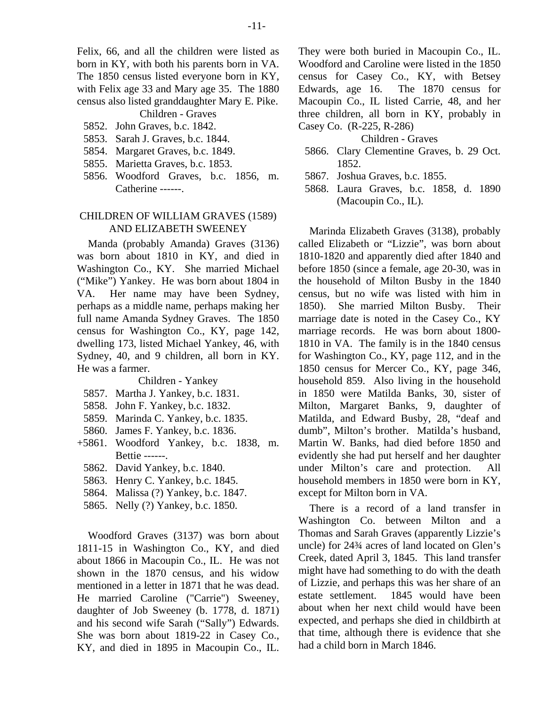Felix, 66, and all the children were listed as born in KY, with both his parents born in VA. The 1850 census listed everyone born in KY, with Felix age 33 and Mary age 35. The 1880 census also listed granddaughter Mary E. Pike. Children - Graves

5852. John Graves, b.c. 1842.

- 5853. Sarah J. Graves, b.c. 1844.
- 5854. Margaret Graves, b.c. 1849.
- 5855. Marietta Graves, b.c. 1853.
- 5856. Woodford Graves, b.c. 1856, m. Catherine ------.

## CHILDREN OF WILLIAM GRAVES (1589) AND ELIZABETH SWEENEY

Manda (probably Amanda) Graves (3136) was born about 1810 in KY, and died in Washington Co., KY. She married Michael ("Mike") Yankey. He was born about 1804 in VA. Her name may have been Sydney, perhaps as a middle name, perhaps making her full name Amanda Sydney Graves. The 1850 census for Washington Co., KY, page 142, dwelling 173, listed Michael Yankey, 46, with Sydney, 40, and 9 children, all born in KY. He was a farmer.

#### Children - Yankey

- 5857. Martha J. Yankey, b.c. 1831.
- 5858. John F. Yankey, b.c. 1832.
- 5859. Marinda C. Yankey, b.c. 1835.
- 5860. James F. Yankey, b.c. 1836.
- +5861. Woodford Yankey, b.c. 1838, m. Bettie ------.
	- 5862. David Yankey, b.c. 1840.
	- 5863. Henry C. Yankey, b.c. 1845.
	- 5864. Malissa (?) Yankey, b.c. 1847.
	- 5865. Nelly (?) Yankey, b.c. 1850.

Woodford Graves (3137) was born about 1811-15 in Washington Co., KY, and died about 1866 in Macoupin Co., IL. He was not shown in the 1870 census, and his widow mentioned in a letter in 1871 that he was dead. He married Caroline ("Carrie") Sweeney, daughter of Job Sweeney (b. 1778, d. 1871) and his second wife Sarah ("Sally") Edwards. She was born about 1819-22 in Casey Co., KY, and died in 1895 in Macoupin Co., IL.

They were both buried in Macoupin Co., IL. Woodford and Caroline were listed in the 1850 census for Casey Co., KY, with Betsey Edwards, age 16. The 1870 census for Macoupin Co., IL listed Carrie, 48, and her three children, all born in KY, probably in Casey Co. (R-225, R-286)

Children - Graves

- 5866. Clary Clementine Graves, b. 29 Oct. 1852.
- 5867. Joshua Graves, b.c. 1855.
- 5868. Laura Graves, b.c. 1858, d. 1890 (Macoupin Co., IL).

Marinda Elizabeth Graves (3138), probably called Elizabeth or "Lizzie", was born about 1810-1820 and apparently died after 1840 and before 1850 (since a female, age 20-30, was in the household of Milton Busby in the 1840 census, but no wife was listed with him in 1850). She married Milton Busby. Their marriage date is noted in the Casey Co., KY marriage records. He was born about 1800- 1810 in VA. The family is in the 1840 census for Washington Co., KY, page 112, and in the 1850 census for Mercer Co., KY, page 346, household 859. Also living in the household in 1850 were Matilda Banks, 30, sister of Milton, Margaret Banks, 9, daughter of Matilda, and Edward Busby, 28, "deaf and dumb", Milton's brother. Matilda's husband, Martin W. Banks, had died before 1850 and evidently she had put herself and her daughter under Milton's care and protection. All household members in 1850 were born in KY, except for Milton born in VA.

There is a record of a land transfer in Washington Co. between Milton and a Thomas and Sarah Graves (apparently Lizzie's uncle) for 24¾ acres of land located on Glen's Creek, dated April 3, 1845. This land transfer might have had something to do with the death of Lizzie, and perhaps this was her share of an estate settlement. 1845 would have been about when her next child would have been expected, and perhaps she died in childbirth at that time, although there is evidence that she had a child born in March 1846.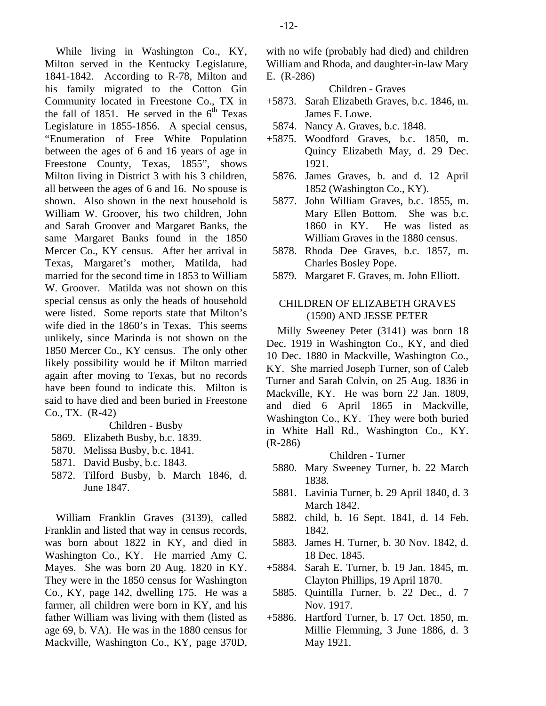While living in Washington Co., KY, Milton served in the Kentucky Legislature, 1841-1842. According to R-78, Milton and his family migrated to the Cotton Gin Community located in Freestone Co., TX in the fall of 1851. He served in the  $6<sup>th</sup>$  Texas Legislature in 1855-1856. A special census, "Enumeration of Free White Population between the ages of 6 and 16 years of age in Freestone County, Texas, 1855", shows Milton living in District 3 with his 3 children, all between the ages of 6 and 16. No spouse is shown. Also shown in the next household is William W. Groover, his two children, John and Sarah Groover and Margaret Banks, the same Margaret Banks found in the 1850 Mercer Co., KY census. After her arrival in Texas, Margaret's mother, Matilda, had married for the second time in 1853 to William W. Groover. Matilda was not shown on this special census as only the heads of household were listed. Some reports state that Milton's wife died in the 1860's in Texas. This seems unlikely, since Marinda is not shown on the 1850 Mercer Co., KY census. The only other likely possibility would be if Milton married again after moving to Texas, but no records have been found to indicate this. Milton is said to have died and been buried in Freestone Co., TX. (R-42)

#### Children - Busby

- 5869. Elizabeth Busby, b.c. 1839.
- 5870. Melissa Busby, b.c. 1841.
- 5871. David Busby, b.c. 1843.
- 5872. Tilford Busby, b. March 1846, d. June 1847.

William Franklin Graves (3139), called Franklin and listed that way in census records, was born about 1822 in KY, and died in Washington Co., KY. He married Amy C. Mayes. She was born 20 Aug. 1820 in KY. They were in the 1850 census for Washington Co., KY, page 142, dwelling 175. He was a farmer, all children were born in KY, and his father William was living with them (listed as age 69, b. VA). He was in the 1880 census for Mackville, Washington Co., KY, page 370D,

with no wife (probably had died) and children William and Rhoda, and daughter-in-law Mary E. (R-286)

## Children - Graves

- +5873. Sarah Elizabeth Graves, b.c. 1846, m. James F. Lowe.
- 5874. Nancy A. Graves, b.c. 1848.
- +5875. Woodford Graves, b.c. 1850, m. Quincy Elizabeth May, d. 29 Dec. 1921.
	- 5876. James Graves, b. and d. 12 April 1852 (Washington Co., KY).
	- 5877. John William Graves, b.c. 1855, m. Mary Ellen Bottom. She was b.c. 1860 in KY. He was listed as William Graves in the 1880 census.
	- 5878. Rhoda Dee Graves, b.c. 1857, m. Charles Bosley Pope.
	- 5879. Margaret F. Graves, m. John Elliott.

## CHILDREN OF ELIZABETH GRAVES (1590) AND JESSE PETER

Milly Sweeney Peter (3141) was born 18 Dec. 1919 in Washington Co., KY, and died 10 Dec. 1880 in Mackville, Washington Co., KY. She married Joseph Turner, son of Caleb Turner and Sarah Colvin, on 25 Aug. 1836 in Mackville, KY. He was born 22 Jan. 1809, and died 6 April 1865 in Mackville, Washington Co., KY. They were both buried in White Hall Rd., Washington Co., KY. (R-286)

## Children - Turner

- 5880. Mary Sweeney Turner, b. 22 March 1838.
- 5881. Lavinia Turner, b. 29 April 1840, d. 3 March 1842.
- 5882. child, b. 16 Sept. 1841, d. 14 Feb. 1842.
- 5883. James H. Turner, b. 30 Nov. 1842, d. 18 Dec. 1845.
- +5884. Sarah E. Turner, b. 19 Jan. 1845, m. Clayton Phillips, 19 April 1870.
- 5885. Quintilla Turner, b. 22 Dec., d. 7 Nov. 1917.
- +5886. Hartford Turner, b. 17 Oct. 1850, m. Millie Flemming, 3 June 1886, d. 3 May 1921.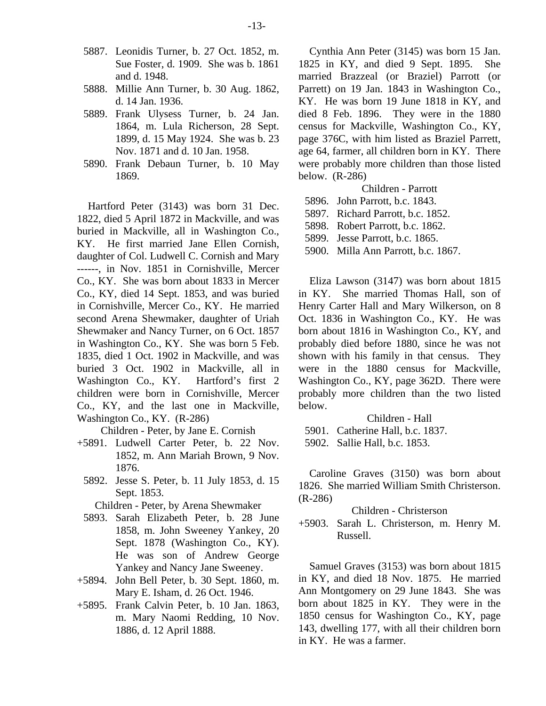- 5887. Leonidis Turner, b. 27 Oct. 1852, m. Sue Foster, d. 1909. She was b. 1861 and d. 1948.
- 5888. Millie Ann Turner, b. 30 Aug. 1862, d. 14 Jan. 1936.
- 5889. Frank Ulysess Turner, b. 24 Jan. 1864, m. Lula Richerson, 28 Sept. 1899, d. 15 May 1924. She was b. 23 Nov. 1871 and d. 10 Jan. 1958.
- 5890. Frank Debaun Turner, b. 10 May 1869.

Hartford Peter (3143) was born 31 Dec. 1822, died 5 April 1872 in Mackville, and was buried in Mackville, all in Washington Co., KY. He first married Jane Ellen Cornish, daughter of Col. Ludwell C. Cornish and Mary ------, in Nov. 1851 in Cornishville, Mercer Co., KY. She was born about 1833 in Mercer Co., KY, died 14 Sept. 1853, and was buried in Cornishville, Mercer Co., KY. He married second Arena Shewmaker, daughter of Uriah Shewmaker and Nancy Turner, on 6 Oct. 1857 in Washington Co., KY. She was born 5 Feb. 1835, died 1 Oct. 1902 in Mackville, and was buried 3 Oct. 1902 in Mackville, all in Washington Co., KY. Hartford's first 2 children were born in Cornishville, Mercer Co., KY, and the last one in Mackville, Washington Co., KY. (R-286)

Children - Peter, by Jane E. Cornish

- +5891. Ludwell Carter Peter, b. 22 Nov. 1852, m. Ann Mariah Brown, 9 Nov. 1876.
	- 5892. Jesse S. Peter, b. 11 July 1853, d. 15 Sept. 1853.

Children - Peter, by Arena Shewmaker

- 5893. Sarah Elizabeth Peter, b. 28 June 1858, m. John Sweeney Yankey, 20 Sept. 1878 (Washington Co., KY). He was son of Andrew George Yankey and Nancy Jane Sweeney.
- +5894. John Bell Peter, b. 30 Sept. 1860, m. Mary E. Isham, d. 26 Oct. 1946.
- +5895. Frank Calvin Peter, b. 10 Jan. 1863, m. Mary Naomi Redding, 10 Nov. 1886, d. 12 April 1888.

Cynthia Ann Peter (3145) was born 15 Jan. 1825 in KY, and died 9 Sept. 1895. She married Brazzeal (or Braziel) Parrott (or Parrett) on 19 Jan. 1843 in Washington Co., KY. He was born 19 June 1818 in KY, and died 8 Feb. 1896. They were in the 1880 census for Mackville, Washington Co., KY, page 376C, with him listed as Braziel Parrett, age 64, farmer, all children born in KY. There were probably more children than those listed below. (R-286)

- Children Parrott
- 5896. John Parrott, b.c. 1843.
- 5897. Richard Parrott, b.c. 1852.
- 5898. Robert Parrott, b.c. 1862.

5899. Jesse Parrott, b.c. 1865.

5900. Milla Ann Parrott, b.c. 1867.

Eliza Lawson (3147) was born about 1815 in KY. She married Thomas Hall, son of Henry Carter Hall and Mary Wilkerson, on 8 Oct. 1836 in Washington Co., KY. He was born about 1816 in Washington Co., KY, and probably died before 1880, since he was not shown with his family in that census. They were in the 1880 census for Mackville, Washington Co., KY, page 362D. There were probably more children than the two listed below.

Children - Hall

- 5901. Catherine Hall, b.c. 1837.
- 5902. Sallie Hall, b.c. 1853.

Caroline Graves (3150) was born about 1826. She married William Smith Christerson. (R-286)

#### Children - Christerson

+5903. Sarah L. Christerson, m. Henry M. Russell.

Samuel Graves (3153) was born about 1815 in KY, and died 18 Nov. 1875. He married Ann Montgomery on 29 June 1843. She was born about 1825 in KY. They were in the 1850 census for Washington Co., KY, page 143, dwelling 177, with all their children born in KY. He was a farmer.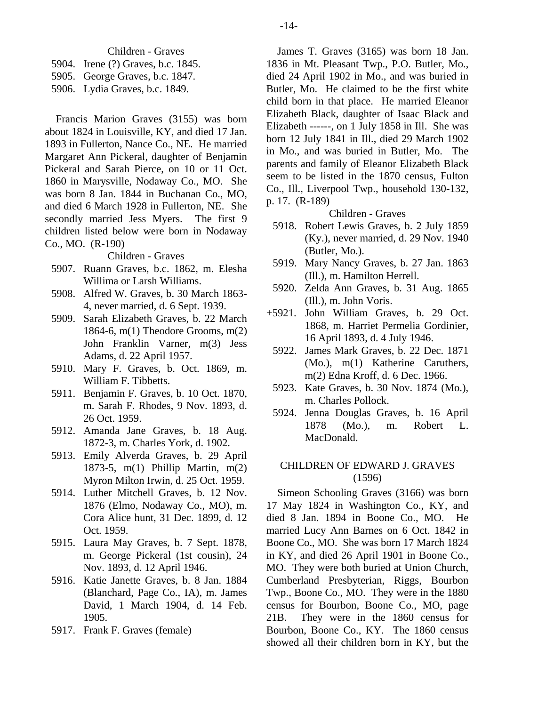Children - Graves

- 5904. Irene (?) Graves, b.c. 1845.
- 5905. George Graves, b.c. 1847.
- 5906. Lydia Graves, b.c. 1849.

Francis Marion Graves (3155) was born about 1824 in Louisville, KY, and died 17 Jan. 1893 in Fullerton, Nance Co., NE. He married Margaret Ann Pickeral, daughter of Benjamin Pickeral and Sarah Pierce, on 10 or 11 Oct. 1860 in Marysville, Nodaway Co., MO. She was born 8 Jan. 1844 in Buchanan Co., MO, and died 6 March 1928 in Fullerton, NE. She secondly married Jess Myers. The first 9 children listed below were born in Nodaway Co., MO. (R-190)

Children - Graves

- 5907. Ruann Graves, b.c. 1862, m. Elesha Willima or Larsh Williams.
- 5908. Alfred W. Graves, b. 30 March 1863- 4, never married, d. 6 Sept. 1939.
- 5909. Sarah Elizabeth Graves, b. 22 March 1864-6, m(1) Theodore Grooms, m(2) John Franklin Varner, m(3) Jess Adams, d. 22 April 1957.
- 5910. Mary F. Graves, b. Oct. 1869, m. William F. Tibbetts.
- 5911. Benjamin F. Graves, b. 10 Oct. 1870, m. Sarah F. Rhodes, 9 Nov. 1893, d. 26 Oct. 1959.
- 5912. Amanda Jane Graves, b. 18 Aug. 1872-3, m. Charles York, d. 1902.
- 5913. Emily Alverda Graves, b. 29 April 1873-5, m(1) Phillip Martin, m(2) Myron Milton Irwin, d. 25 Oct. 1959.
- 5914. Luther Mitchell Graves, b. 12 Nov. 1876 (Elmo, Nodaway Co., MO), m. Cora Alice hunt, 31 Dec. 1899, d. 12 Oct. 1959.
- 5915. Laura May Graves, b. 7 Sept. 1878, m. George Pickeral (1st cousin), 24 Nov. 1893, d. 12 April 1946.
- 5916. Katie Janette Graves, b. 8 Jan. 1884 (Blanchard, Page Co., IA), m. James David, 1 March 1904, d. 14 Feb. 1905.
- 5917. Frank F. Graves (female)

James T. Graves (3165) was born 18 Jan. 1836 in Mt. Pleasant Twp., P.O. Butler, Mo., died 24 April 1902 in Mo., and was buried in Butler, Mo. He claimed to be the first white child born in that place. He married Eleanor Elizabeth Black, daughter of Isaac Black and Elizabeth ------, on 1 July 1858 in Ill. She was born 12 July 1841 in Ill., died 29 March 1902 in Mo., and was buried in Butler, Mo. The parents and family of Eleanor Elizabeth Black seem to be listed in the 1870 census, Fulton Co., Ill., Liverpool Twp., household 130-132, p. 17. (R-189)

#### Children - Graves

- 5918. Robert Lewis Graves, b. 2 July 1859 (Ky.), never married, d. 29 Nov. 1940 (Butler, Mo.).
- 5919. Mary Nancy Graves, b. 27 Jan. 1863 (Ill.), m. Hamilton Herrell.
- 5920. Zelda Ann Graves, b. 31 Aug. 1865 (Ill.), m. John Voris.
- +5921. John William Graves, b. 29 Oct. 1868, m. Harriet Permelia Gordinier, 16 April 1893, d. 4 July 1946.
	- 5922. James Mark Graves, b. 22 Dec. 1871 (Mo.), m(1) Katherine Caruthers, m(2) Edna Kroff, d. 6 Dec. 1966.
	- 5923. Kate Graves, b. 30 Nov. 1874 (Mo.), m. Charles Pollock.
	- 5924. Jenna Douglas Graves, b. 16 April 1878 (Mo.), m. Robert L. MacDonald.

## CHILDREN OF EDWARD J. GRAVES (1596)

Simeon Schooling Graves (3166) was born 17 May 1824 in Washington Co., KY, and died 8 Jan. 1894 in Boone Co., MO. He married Lucy Ann Barnes on 6 Oct. 1842 in Boone Co., MO. She was born 17 March 1824 in KY, and died 26 April 1901 in Boone Co., MO. They were both buried at Union Church, Cumberland Presbyterian, Riggs, Bourbon Twp., Boone Co., MO. They were in the 1880 census for Bourbon, Boone Co., MO, page 21B. They were in the 1860 census for Bourbon, Boone Co., KY. The 1860 census showed all their children born in KY, but the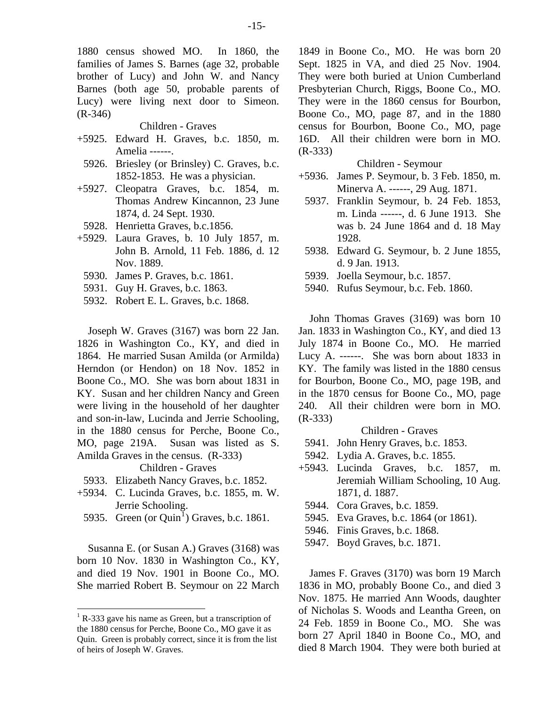1880 census showed MO. In 1860, the families of James S. Barnes (age 32, probable brother of Lucy) and John W. and Nancy Barnes (both age 50, probable parents of Lucy) were living next door to Simeon. (R-346)

#### Children - Graves

- +5925. Edward H. Graves, b.c. 1850, m. Amelia ------.
- 5926. Briesley (or Brinsley) C. Graves, b.c. 1852-1853. He was a physician.
- +5927. Cleopatra Graves, b.c. 1854, m. Thomas Andrew Kincannon, 23 June 1874, d. 24 Sept. 1930.
- 5928. Henrietta Graves, b.c.1856.
- +5929. Laura Graves, b. 10 July 1857, m. John B. Arnold, 11 Feb. 1886, d. 12 Nov. 1889.
	- 5930. James P. Graves, b.c. 1861.
	- 5931. Guy H. Graves, b.c. 1863.
	- 5932. Robert E. L. Graves, b.c. 1868.

Joseph W. Graves (3167) was born 22 Jan. 1826 in Washington Co., KY, and died in 1864. He married Susan Amilda (or Armilda) Herndon (or Hendon) on 18 Nov. 1852 in Boone Co., MO. She was born about 1831 in KY. Susan and her children Nancy and Green were living in the household of her daughter and son-in-law, Lucinda and Jerrie Schooling, in the 1880 census for Perche, Boone Co., MO, page 219A. Susan was listed as S. Amilda Graves in the census. (R-333)

Children - Graves

- 5933. Elizabeth Nancy Graves, b.c. 1852.
- +5934. C. Lucinda Graves, b.c. 1855, m. W. Jerrie Schooling.
- 5935. Green (or  $Quin<sup>1</sup>$  $Quin<sup>1</sup>$  $Quin<sup>1</sup>$ ) Graves, b.c. 1861.

Susanna E. (or Susan A.) Graves (3168) was born 10 Nov. 1830 in Washington Co., KY, and died 19 Nov. 1901 in Boone Co., MO. She married Robert B. Seymour on 22 March

1849 in Boone Co., MO. He was born 20 Sept. 1825 in VA, and died 25 Nov. 1904. They were both buried at Union Cumberland Presbyterian Church, Riggs, Boone Co., MO. They were in the 1860 census for Bourbon, Boone Co., MO, page 87, and in the 1880 census for Bourbon, Boone Co., MO, page 16D. All their children were born in MO. (R-333)

#### Children - Seymour

- +5936. James P. Seymour, b. 3 Feb. 1850, m. Minerva A. ------, 29 Aug. 1871.
- 5937. Franklin Seymour, b. 24 Feb. 1853, m. Linda ------, d. 6 June 1913. She was b. 24 June 1864 and d. 18 May 1928.
- 5938. Edward G. Seymour, b. 2 June 1855, d. 9 Jan. 1913.
- 5939. Joella Seymour, b.c. 1857.
- 5940. Rufus Seymour, b.c. Feb. 1860.

John Thomas Graves (3169) was born 10 Jan. 1833 in Washington Co., KY, and died 13 July 1874 in Boone Co., MO. He married Lucy A. ------. She was born about 1833 in KY. The family was listed in the 1880 census for Bourbon, Boone Co., MO, page 19B, and in the 1870 census for Boone Co., MO, page 240. All their children were born in MO. (R-333)

#### Children - Graves

- 5941. John Henry Graves, b.c. 1853.
- 5942. Lydia A. Graves, b.c. 1855.
- +5943. Lucinda Graves, b.c. 1857, m. Jeremiah William Schooling, 10 Aug. 1871, d. 1887.
- 5944. Cora Graves, b.c. 1859.
- 5945. Eva Graves, b.c. 1864 (or 1861).
- 5946. Finis Graves, b.c. 1868.
- 5947. Boyd Graves, b.c. 1871.

James F. Graves (3170) was born 19 March 1836 in MO, probably Boone Co., and died 3 Nov. 1875. He married Ann Woods, daughter of Nicholas S. Woods and Leantha Green, on 24 Feb. 1859 in Boone Co., MO. She was born 27 April 1840 in Boone Co., MO, and died 8 March 1904. They were both buried at

<span id="page-17-0"></span> $<sup>1</sup>$  R-333 gave his name as Green, but a transcription of</sup> the 1880 census for Perche, Boone Co., MO gave it as Quin. Green is probably correct, since it is from the list of heirs of Joseph W. Graves.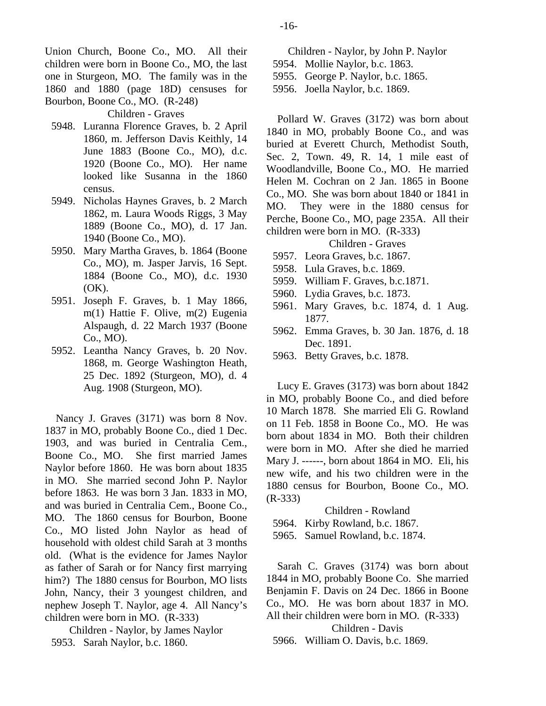Union Church, Boone Co., MO. All their children were born in Boone Co., MO, the last one in Sturgeon, MO. The family was in the 1860 and 1880 (page 18D) censuses for Bourbon, Boone Co., MO. (R-248)

Children - Graves

- 5948. Luranna Florence Graves, b. 2 April 1860, m. Jefferson Davis Keithly, 14 June 1883 (Boone Co., MO), d.c. 1920 (Boone Co., MO). Her name looked like Susanna in the 1860 census.
- 5949. Nicholas Haynes Graves, b. 2 March 1862, m. Laura Woods Riggs, 3 May 1889 (Boone Co., MO), d. 17 Jan. 1940 (Boone Co., MO).
- 5950. Mary Martha Graves, b. 1864 (Boone Co., MO), m. Jasper Jarvis, 16 Sept. 1884 (Boone Co., MO), d.c. 1930 (OK).
- 5951. Joseph F. Graves, b. 1 May 1866, m(1) Hattie F. Olive, m(2) Eugenia Alspaugh, d. 22 March 1937 (Boone Co., MO).
- 5952. Leantha Nancy Graves, b. 20 Nov. 1868, m. George Washington Heath, 25 Dec. 1892 (Sturgeon, MO), d. 4 Aug. 1908 (Sturgeon, MO).

Nancy J. Graves (3171) was born 8 Nov. 1837 in MO, probably Boone Co., died 1 Dec. 1903, and was buried in Centralia Cem., Boone Co., MO. She first married James Naylor before 1860. He was born about 1835 in MO. She married second John P. Naylor before 1863. He was born 3 Jan. 1833 in MO, and was buried in Centralia Cem., Boone Co., MO. The 1860 census for Bourbon, Boone Co., MO listed John Naylor as head of household with oldest child Sarah at 3 months old. (What is the evidence for James Naylor as father of Sarah or for Nancy first marrying him?) The 1880 census for Bourbon, MO lists John, Nancy, their 3 youngest children, and nephew Joseph T. Naylor, age 4. All Nancy's children were born in MO. (R-333)

Children - Naylor, by James Naylor 5953. Sarah Naylor, b.c. 1860.

- Children Naylor, by John P. Naylor 5954. Mollie Naylor, b.c. 1863. 5955. George P. Naylor, b.c. 1865.
- 5956. Joella Naylor, b.c. 1869.

Pollard W. Graves (3172) was born about 1840 in MO, probably Boone Co., and was buried at Everett Church, Methodist South, Sec. 2, Town. 49, R. 14, 1 mile east of Woodlandville, Boone Co., MO. He married Helen M. Cochran on 2 Jan. 1865 in Boone Co., MO. She was born about 1840 or 1841 in MO. They were in the 1880 census for Perche, Boone Co., MO, page 235A. All their children were born in MO. (R-333)

## Children - Graves

- 5957. Leora Graves, b.c. 1867.
- 5958. Lula Graves, b.c. 1869.
- 5959. William F. Graves, b.c.1871.
- 5960. Lydia Graves, b.c. 1873.
- 5961. Mary Graves, b.c. 1874, d. 1 Aug. 1877.
- 5962. Emma Graves, b. 30 Jan. 1876, d. 18 Dec. 1891.
- 5963. Betty Graves, b.c. 1878.

Lucy E. Graves (3173) was born about 1842 in MO, probably Boone Co., and died before 10 March 1878. She married Eli G. Rowland on 11 Feb. 1858 in Boone Co., MO. He was born about 1834 in MO. Both their children were born in MO. After she died he married Mary J. ------, born about 1864 in MO. Eli, his new wife, and his two children were in the 1880 census for Bourbon, Boone Co., MO. (R-333)

#### Children - Rowland

5964. Kirby Rowland, b.c. 1867.

5965. Samuel Rowland, b.c. 1874.

Sarah C. Graves (3174) was born about 1844 in MO, probably Boone Co. She married Benjamin F. Davis on 24 Dec. 1866 in Boone Co., MO. He was born about 1837 in MO. All their children were born in MO. (R-333) Children - Davis

5966. William O. Davis, b.c. 1869.